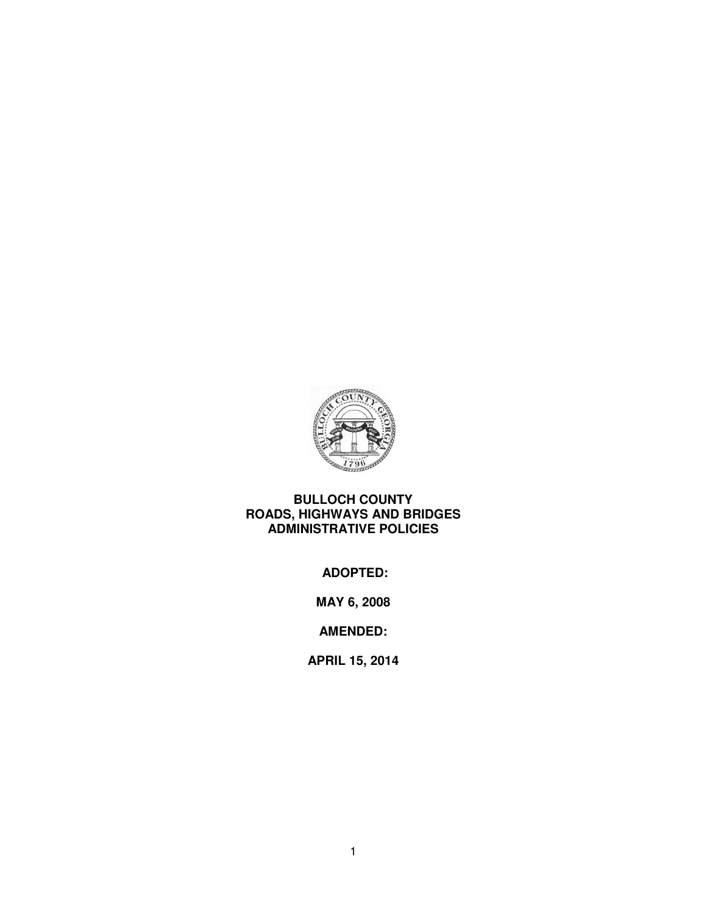

# **BULLOCH COUNTY ROADS, HIGHWAYS AND BRIDGES ADMINISTRATIVE POLICIES**

 **ADOPTED:** 

**MAY 6, 2008** 

**AMENDED:** 

**APRIL 15, 2014**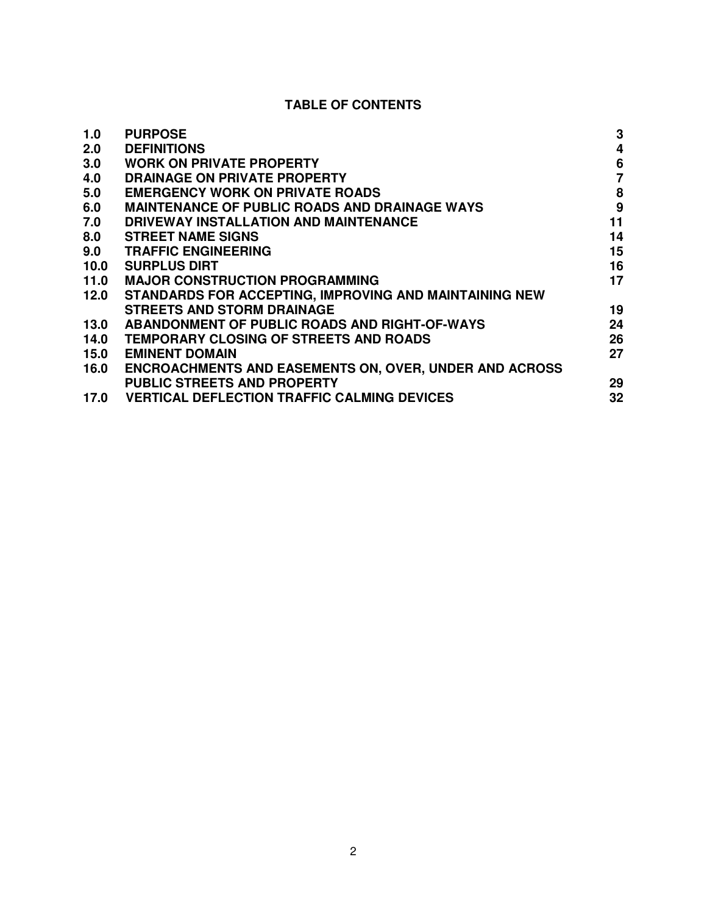# **TABLE OF CONTENTS**

| 1.0  | <b>PURPOSE</b>                                                | 3                |
|------|---------------------------------------------------------------|------------------|
| 2.0  | <b>DEFINITIONS</b>                                            | 4                |
| 3.0  | <b>WORK ON PRIVATE PROPERTY</b>                               | $6\phantom{1}6$  |
| 4.0  | DRAINAGE ON PRIVATE PROPERTY                                  | $\overline{7}$   |
| 5.0  | <b>EMERGENCY WORK ON PRIVATE ROADS</b>                        | 8                |
| 6.0  | <b>MAINTENANCE OF PUBLIC ROADS AND DRAINAGE WAYS</b>          | $\boldsymbol{9}$ |
| 7.0  | DRIVEWAY INSTALLATION AND MAINTENANCE                         | 11               |
| 8.0  | <b>STREET NAME SIGNS</b>                                      | 14               |
| 9.0  | <b>TRAFFIC ENGINEERING</b>                                    | 15               |
| 10.0 | <b>SURPLUS DIRT</b>                                           | 16               |
| 11.0 | <b>MAJOR CONSTRUCTION PROGRAMMING</b>                         | 17               |
| 12.0 | STANDARDS FOR ACCEPTING, IMPROVING AND MAINTAINING NEW        |                  |
|      | <b>STREETS AND STORM DRAINAGE</b>                             | 19               |
| 13.0 | <b>ABANDONMENT OF PUBLIC ROADS AND RIGHT-OF-WAYS</b>          | 24               |
| 14.0 | TEMPORARY CLOSING OF STREETS AND ROADS                        | 26               |
| 15.0 | <b>EMINENT DOMAIN</b>                                         | 27               |
| 16.0 | <b>ENCROACHMENTS AND EASEMENTS ON, OVER, UNDER AND ACROSS</b> |                  |
|      | <b>PUBLIC STREETS AND PROPERTY</b>                            | 29               |
| 17.0 | <b>VERTICAL DEFLECTION TRAFFIC CALMING DEVICES</b>            | 32               |
|      |                                                               |                  |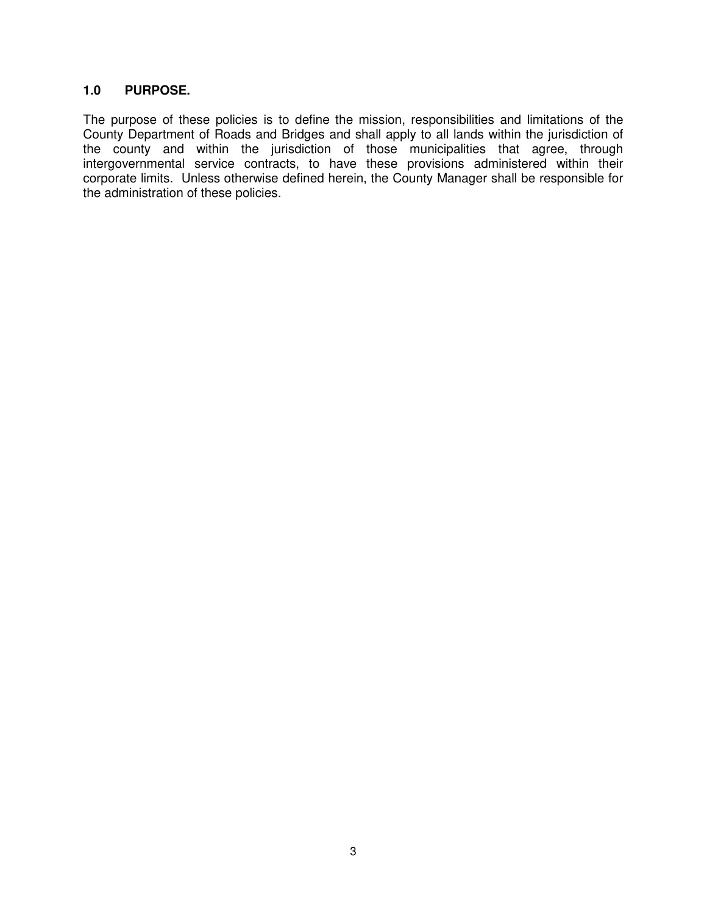## **1.0 PURPOSE.**

The purpose of these policies is to define the mission, responsibilities and limitations of the County Department of Roads and Bridges and shall apply to all lands within the jurisdiction of the county and within the jurisdiction of those municipalities that agree, through intergovernmental service contracts, to have these provisions administered within their corporate limits. Unless otherwise defined herein, the County Manager shall be responsible for the administration of these policies.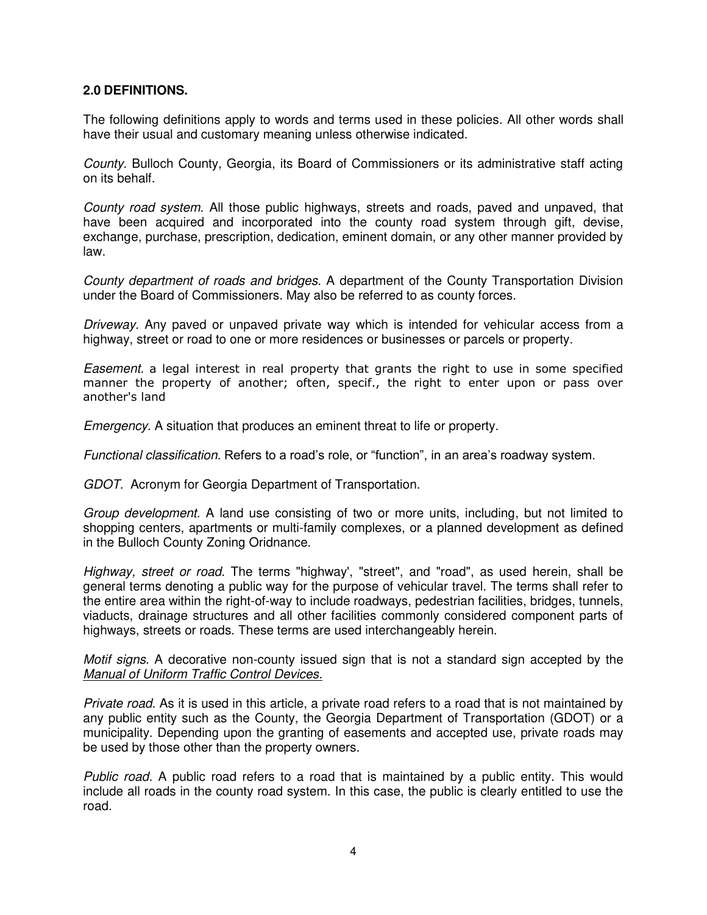#### **2.0 DEFINITIONS.**

The following definitions apply to words and terms used in these policies. All other words shall have their usual and customary meaning unless otherwise indicated.

County. Bulloch County, Georgia, its Board of Commissioners or its administrative staff acting on its behalf.

County road system. All those public highways, streets and roads, paved and unpaved, that have been acquired and incorporated into the county road system through gift, devise, exchange, purchase, prescription, dedication, eminent domain, or any other manner provided by law.

County department of roads and bridges. A department of the County Transportation Division under the Board of Commissioners. May also be referred to as county forces.

Driveway. Any paved or unpaved private way which is intended for vehicular access from a highway, street or road to one or more residences or businesses or parcels or property.

Easement. a legal interest in real property that grants the right to use in some specified manner the property of another; often, specif., the right to enter upon or pass over another's land

Emergency. A situation that produces an eminent threat to life or property.

Functional classification. Refers to a road's role, or "function", in an area's roadway system.

GDOT. Acronym for Georgia Department of Transportation.

Group development. A land use consisting of two or more units, including, but not limited to shopping centers, apartments or multi-family complexes, or a planned development as defined in the Bulloch County Zoning Oridnance.

Highway, street or road. The terms "highway', "street", and "road", as used herein, shall be general terms denoting a public way for the purpose of vehicular travel. The terms shall refer to the entire area within the right-of-way to include roadways, pedestrian facilities, bridges, tunnels, viaducts, drainage structures and all other facilities commonly considered component parts of highways, streets or roads. These terms are used interchangeably herein.

Motif signs. A decorative non-county issued sign that is not a standard sign accepted by the Manual of Uniform Traffic Control Devices.

Private road. As it is used in this article, a private road refers to a road that is not maintained by any public entity such as the County, the Georgia Department of Transportation (GDOT) or a municipality. Depending upon the granting of easements and accepted use, private roads may be used by those other than the property owners.

Public road. A public road refers to a road that is maintained by a public entity. This would include all roads in the county road system. In this case, the public is clearly entitled to use the road.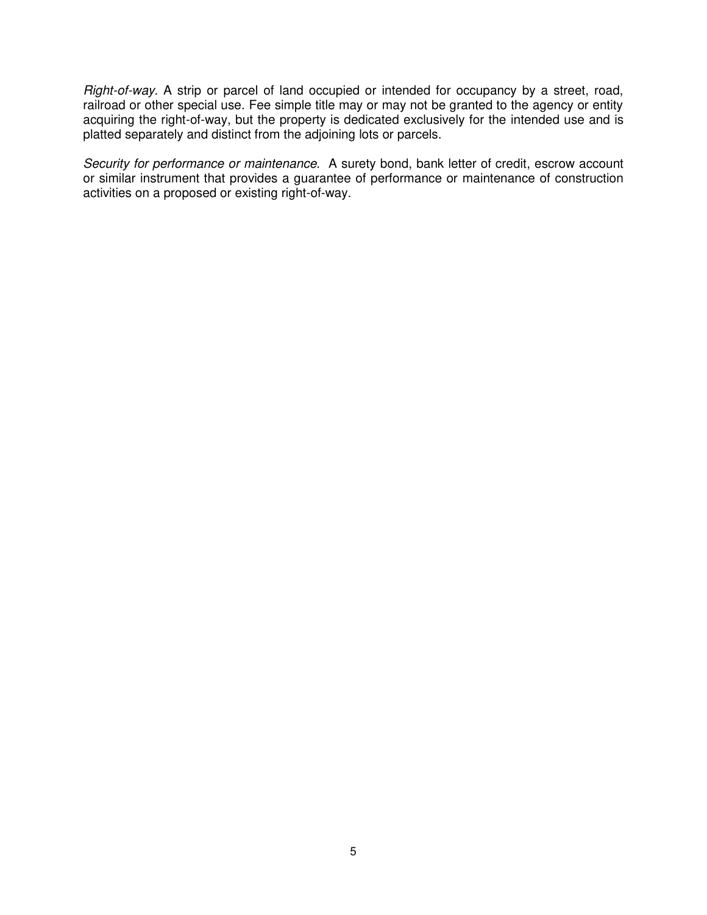Right-of-way. A strip or parcel of land occupied or intended for occupancy by a street, road, railroad or other special use. Fee simple title may or may not be granted to the agency or entity acquiring the right-of-way, but the property is dedicated exclusively for the intended use and is platted separately and distinct from the adjoining lots or parcels.

Security for performance or maintenance. A surety bond, bank letter of credit, escrow account or similar instrument that provides a guarantee of performance or maintenance of construction activities on a proposed or existing right-of-way.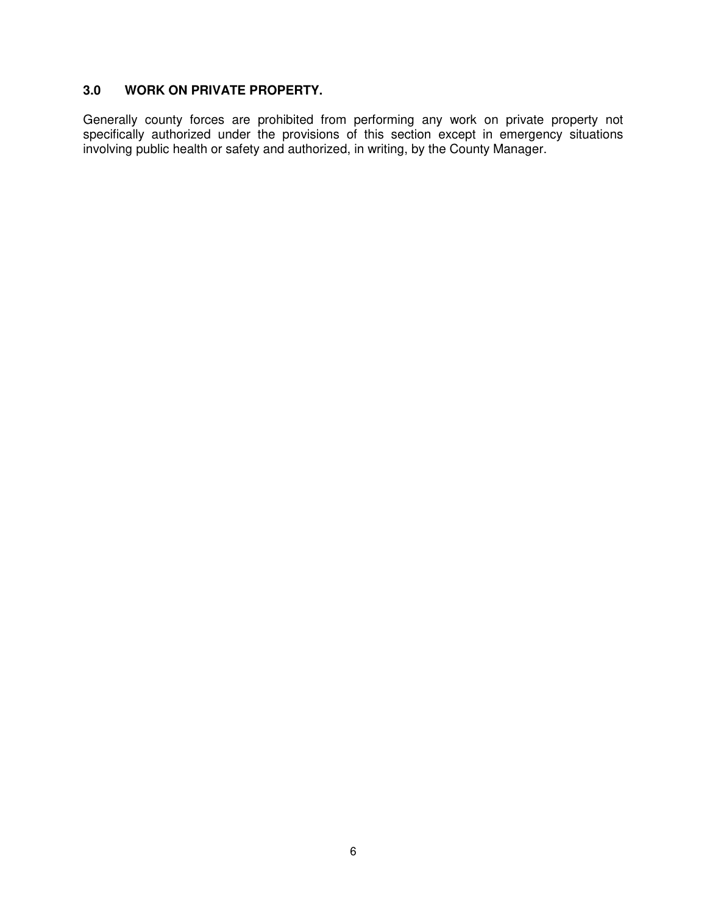## **3.0 WORK ON PRIVATE PROPERTY.**

Generally county forces are prohibited from performing any work on private property not specifically authorized under the provisions of this section except in emergency situations involving public health or safety and authorized, in writing, by the County Manager.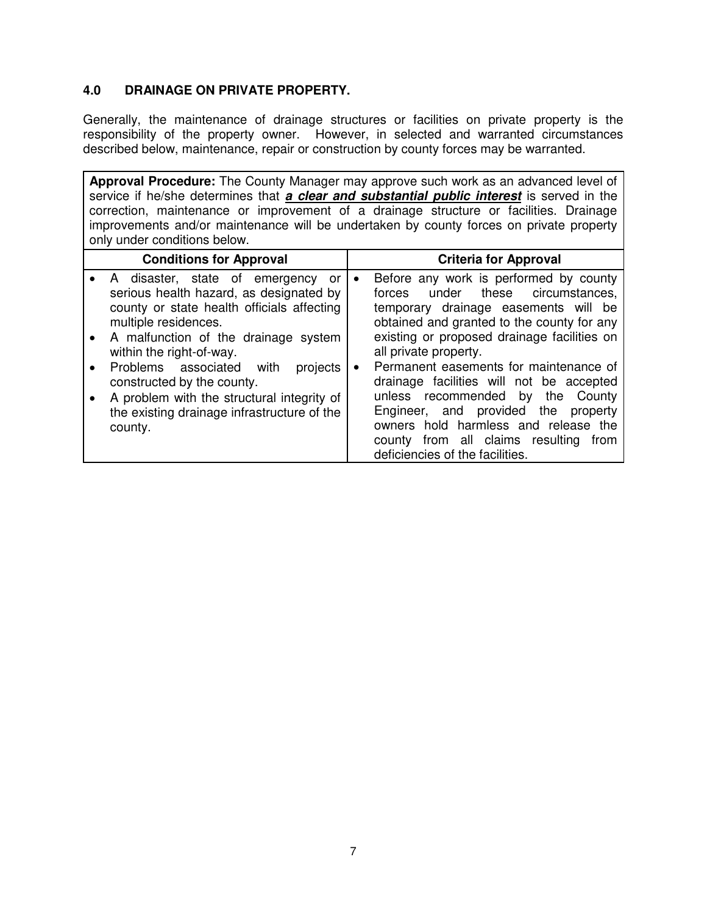# **4.0 DRAINAGE ON PRIVATE PROPERTY.**

Generally, the maintenance of drainage structures or facilities on private property is the responsibility of the property owner. However, in selected and warranted circumstances described below, maintenance, repair or construction by county forces may be warranted.

**Approval Procedure:** The County Manager may approve such work as an advanced level of service if he/she determines that **a clear and substantial public interest** is served in the correction, maintenance or improvement of a drainage structure or facilities. Drainage improvements and/or maintenance will be undertaken by county forces on private property only under conditions below.

| <b>Conditions for Approval</b>                                                                                                                                                                                              | <b>Criteria for Approval</b>                                                                                                                                                                                                                                                                            |
|-----------------------------------------------------------------------------------------------------------------------------------------------------------------------------------------------------------------------------|---------------------------------------------------------------------------------------------------------------------------------------------------------------------------------------------------------------------------------------------------------------------------------------------------------|
| A disaster, state of emergency<br>or<br>serious health hazard, as designated by<br>county or state health officials affecting<br>multiple residences.<br>• A malfunction of the drainage system<br>within the right-of-way. | Before any work is performed by county<br>$\bullet$<br>under these<br>circumstances,<br>forces<br>temporary drainage easements will be<br>obtained and granted to the county for any<br>existing or proposed drainage facilities on<br>all private property.                                            |
| Problems associated<br>with<br>projects<br>constructed by the county.<br>A problem with the structural integrity of<br>$\bullet$<br>the existing drainage infrastructure of the<br>county.                                  | Permanent easements for maintenance of<br>$\bullet$<br>drainage facilities will not be accepted<br>unless recommended<br>by the<br>County<br>Engineer, and provided the property<br>owners hold harmless and release the<br>county from all claims resulting<br>from<br>deficiencies of the facilities. |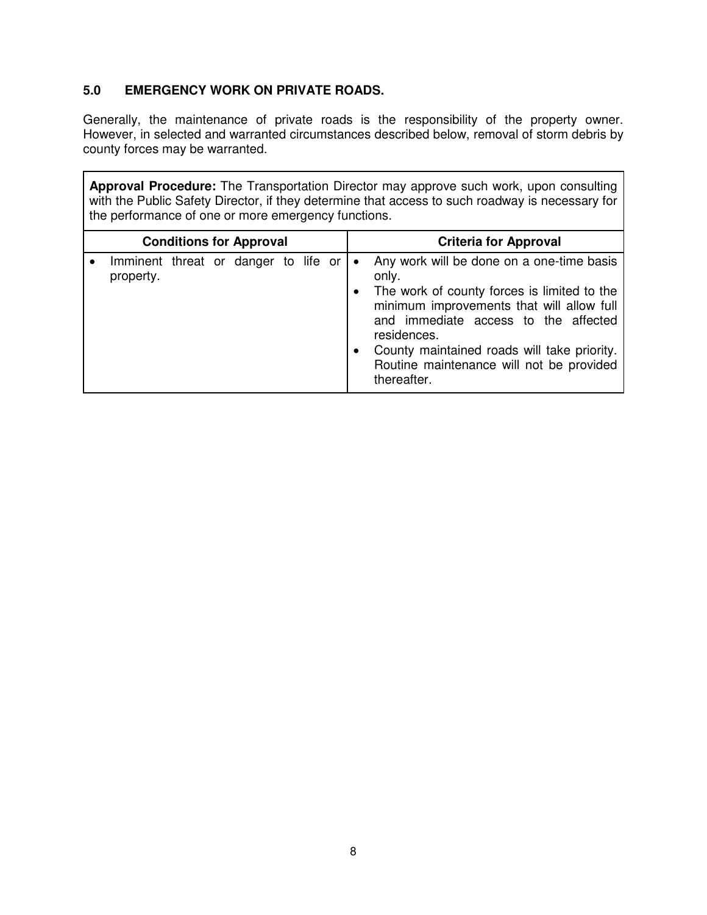# **5.0 EMERGENCY WORK ON PRIVATE ROADS.**

Generally, the maintenance of private roads is the responsibility of the property owner. However, in selected and warranted circumstances described below, removal of storm debris by county forces may be warranted.

**Approval Procedure:** The Transportation Director may approve such work, upon consulting with the Public Safety Director, if they determine that access to such roadway is necessary for the performance of one or more emergency functions.

| <b>Conditions for Approval</b> |                                                   |  |  |  |  | <b>Criteria for Approval</b> |                                                                                                                                                                                                                                                                                                                                           |
|--------------------------------|---------------------------------------------------|--|--|--|--|------------------------------|-------------------------------------------------------------------------------------------------------------------------------------------------------------------------------------------------------------------------------------------------------------------------------------------------------------------------------------------|
|                                | Imminent threat or danger to life or<br>property. |  |  |  |  |                              | Any work will be done on a one-time basis<br>only.<br>The work of county forces is limited to the<br>$\bullet$<br>minimum improvements that will allow full<br>and immediate access to the affected<br>residences.<br>County maintained roads will take priority.<br>$\bullet$<br>Routine maintenance will not be provided<br>thereafter. |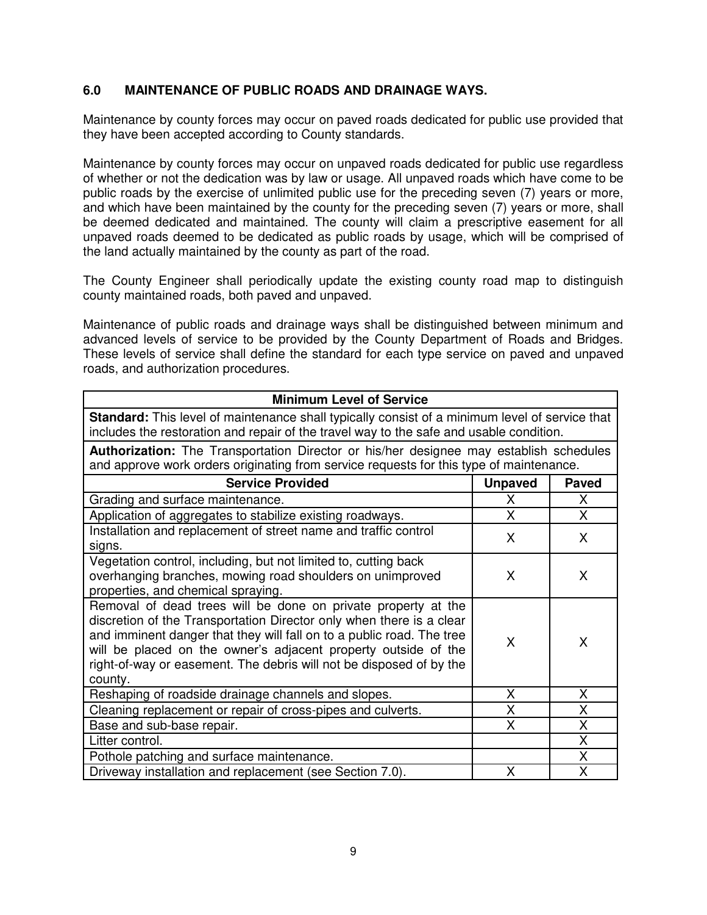## **6.0 MAINTENANCE OF PUBLIC ROADS AND DRAINAGE WAYS.**

Maintenance by county forces may occur on paved roads dedicated for public use provided that they have been accepted according to County standards.

Maintenance by county forces may occur on unpaved roads dedicated for public use regardless of whether or not the dedication was by law or usage. All unpaved roads which have come to be public roads by the exercise of unlimited public use for the preceding seven (7) years or more, and which have been maintained by the county for the preceding seven (7) years or more, shall be deemed dedicated and maintained. The county will claim a prescriptive easement for all unpaved roads deemed to be dedicated as public roads by usage, which will be comprised of the land actually maintained by the county as part of the road.

The County Engineer shall periodically update the existing county road map to distinguish county maintained roads, both paved and unpaved.

Maintenance of public roads and drainage ways shall be distinguished between minimum and advanced levels of service to be provided by the County Department of Roads and Bridges. These levels of service shall define the standard for each type service on paved and unpaved roads, and authorization procedures.

| <b>Minimum Level of Service</b>                                                                                                                                                                                                                                                                                                                                    |                |              |  |  |  |
|--------------------------------------------------------------------------------------------------------------------------------------------------------------------------------------------------------------------------------------------------------------------------------------------------------------------------------------------------------------------|----------------|--------------|--|--|--|
| <b>Standard:</b> This level of maintenance shall typically consist of a minimum level of service that<br>includes the restoration and repair of the travel way to the safe and usable condition.                                                                                                                                                                   |                |              |  |  |  |
| <b>Authorization:</b> The Transportation Director or his/her designee may establish schedules                                                                                                                                                                                                                                                                      |                |              |  |  |  |
| and approve work orders originating from service requests for this type of maintenance.                                                                                                                                                                                                                                                                            |                |              |  |  |  |
| <b>Service Provided</b>                                                                                                                                                                                                                                                                                                                                            | <b>Unpaved</b> | Paved        |  |  |  |
| Grading and surface maintenance.                                                                                                                                                                                                                                                                                                                                   | X              | $\mathsf{X}$ |  |  |  |
| Application of aggregates to stabilize existing roadways.                                                                                                                                                                                                                                                                                                          | X              | $\mathsf{X}$ |  |  |  |
| Installation and replacement of street name and traffic control<br>signs.                                                                                                                                                                                                                                                                                          | X              | X            |  |  |  |
| Vegetation control, including, but not limited to, cutting back<br>overhanging branches, mowing road shoulders on unimproved<br>properties, and chemical spraying.                                                                                                                                                                                                 | X              | X            |  |  |  |
| Removal of dead trees will be done on private property at the<br>discretion of the Transportation Director only when there is a clear<br>and imminent danger that they will fall on to a public road. The tree<br>will be placed on the owner's adjacent property outside of the<br>right-of-way or easement. The debris will not be disposed of by the<br>county. | X              | X            |  |  |  |
| Reshaping of roadside drainage channels and slopes.                                                                                                                                                                                                                                                                                                                | X              | X            |  |  |  |
| Cleaning replacement or repair of cross-pipes and culverts.                                                                                                                                                                                                                                                                                                        | X              | X            |  |  |  |
| Base and sub-base repair.                                                                                                                                                                                                                                                                                                                                          | X              | X            |  |  |  |
| Litter control.                                                                                                                                                                                                                                                                                                                                                    |                | X            |  |  |  |
| Χ<br>Pothole patching and surface maintenance.                                                                                                                                                                                                                                                                                                                     |                |              |  |  |  |
| X<br>X<br>Driveway installation and replacement (see Section 7.0).                                                                                                                                                                                                                                                                                                 |                |              |  |  |  |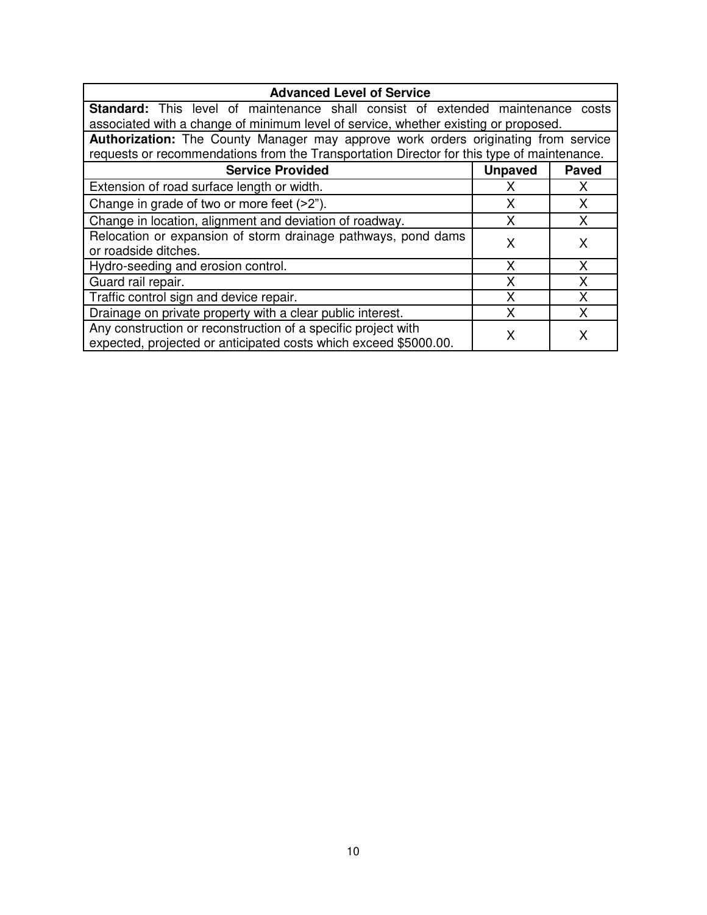| <b>Advanced Level of Service</b>                                                                                                  |                |              |  |  |  |
|-----------------------------------------------------------------------------------------------------------------------------------|----------------|--------------|--|--|--|
| <b>Standard:</b> This level of maintenance shall consist of extended maintenance costs                                            |                |              |  |  |  |
| associated with a change of minimum level of service, whether existing or proposed.                                               |                |              |  |  |  |
| <b>Authorization:</b> The County Manager may approve work orders originating from service                                         |                |              |  |  |  |
| requests or recommendations from the Transportation Director for this type of maintenance.                                        |                |              |  |  |  |
| <b>Service Provided</b>                                                                                                           | <b>Unpaved</b> | <b>Paved</b> |  |  |  |
| Extension of road surface length or width.                                                                                        | x              | X            |  |  |  |
| Change in grade of two or more feet (>2").                                                                                        | x              |              |  |  |  |
| Change in location, alignment and deviation of roadway.                                                                           | X              | X            |  |  |  |
| Relocation or expansion of storm drainage pathways, pond dams<br>or roadside ditches.                                             | x              | x            |  |  |  |
| Hydro-seeding and erosion control.                                                                                                | X              | X            |  |  |  |
| Guard rail repair.                                                                                                                | Χ              | x            |  |  |  |
| Traffic control sign and device repair.                                                                                           | χ              |              |  |  |  |
| Drainage on private property with a clear public interest.                                                                        | x              | x            |  |  |  |
| Any construction or reconstruction of a specific project with<br>expected, projected or anticipated costs which exceed \$5000.00. | x              |              |  |  |  |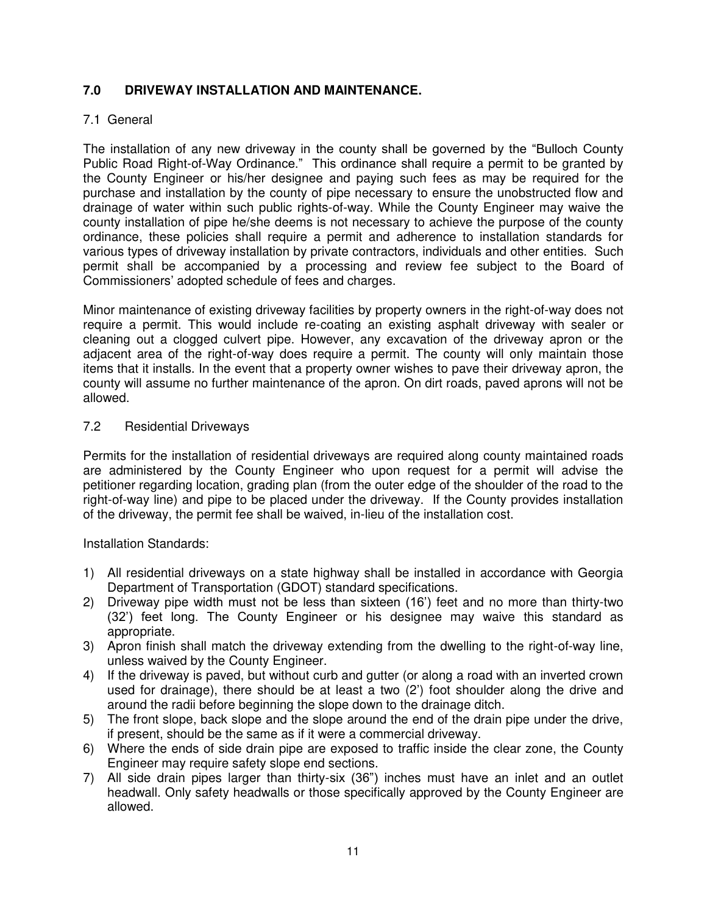# **7.0 DRIVEWAY INSTALLATION AND MAINTENANCE.**

# 7.1 General

The installation of any new driveway in the county shall be governed by the "Bulloch County Public Road Right-of-Way Ordinance." This ordinance shall require a permit to be granted by the County Engineer or his/her designee and paying such fees as may be required for the purchase and installation by the county of pipe necessary to ensure the unobstructed flow and drainage of water within such public rights-of-way. While the County Engineer may waive the county installation of pipe he/she deems is not necessary to achieve the purpose of the county ordinance, these policies shall require a permit and adherence to installation standards for various types of driveway installation by private contractors, individuals and other entities. Such permit shall be accompanied by a processing and review fee subject to the Board of Commissioners' adopted schedule of fees and charges.

Minor maintenance of existing driveway facilities by property owners in the right-of-way does not require a permit. This would include re-coating an existing asphalt driveway with sealer or cleaning out a clogged culvert pipe. However, any excavation of the driveway apron or the adjacent area of the right-of-way does require a permit. The county will only maintain those items that it installs. In the event that a property owner wishes to pave their driveway apron, the county will assume no further maintenance of the apron. On dirt roads, paved aprons will not be allowed.

## 7.2 Residential Driveways

Permits for the installation of residential driveways are required along county maintained roads are administered by the County Engineer who upon request for a permit will advise the petitioner regarding location, grading plan (from the outer edge of the shoulder of the road to the right-of-way line) and pipe to be placed under the driveway. If the County provides installation of the driveway, the permit fee shall be waived, in-lieu of the installation cost.

Installation Standards:

- 1) All residential driveways on a state highway shall be installed in accordance with Georgia Department of Transportation (GDOT) standard specifications.
- 2) Driveway pipe width must not be less than sixteen (16') feet and no more than thirty-two (32') feet long. The County Engineer or his designee may waive this standard as appropriate.
- 3) Apron finish shall match the driveway extending from the dwelling to the right-of-way line, unless waived by the County Engineer.
- 4) If the driveway is paved, but without curb and gutter (or along a road with an inverted crown used for drainage), there should be at least a two (2') foot shoulder along the drive and around the radii before beginning the slope down to the drainage ditch.
- 5) The front slope, back slope and the slope around the end of the drain pipe under the drive, if present, should be the same as if it were a commercial driveway.
- 6) Where the ends of side drain pipe are exposed to traffic inside the clear zone, the County Engineer may require safety slope end sections.
- 7) All side drain pipes larger than thirty-six (36") inches must have an inlet and an outlet headwall. Only safety headwalls or those specifically approved by the County Engineer are allowed.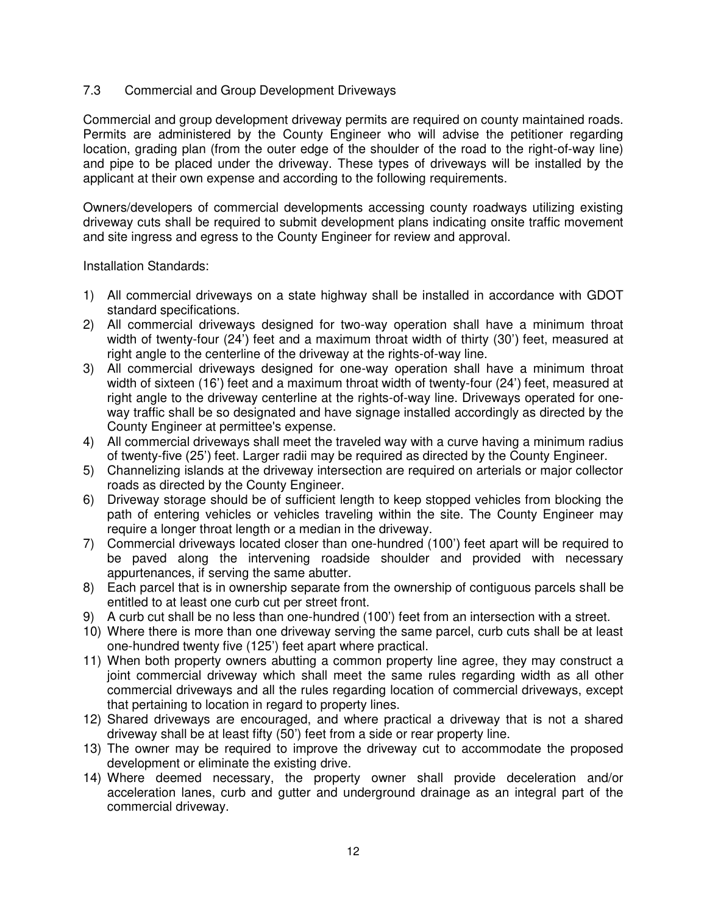## 7.3 Commercial and Group Development Driveways

Commercial and group development driveway permits are required on county maintained roads. Permits are administered by the County Engineer who will advise the petitioner regarding location, grading plan (from the outer edge of the shoulder of the road to the right-of-way line) and pipe to be placed under the driveway. These types of driveways will be installed by the applicant at their own expense and according to the following requirements.

Owners/developers of commercial developments accessing county roadways utilizing existing driveway cuts shall be required to submit development plans indicating onsite traffic movement and site ingress and egress to the County Engineer for review and approval.

Installation Standards:

- 1) All commercial driveways on a state highway shall be installed in accordance with GDOT standard specifications.
- 2) All commercial driveways designed for two-way operation shall have a minimum throat width of twenty-four (24') feet and a maximum throat width of thirty (30') feet, measured at right angle to the centerline of the driveway at the rights-of-way line.
- 3) All commercial driveways designed for one-way operation shall have a minimum throat width of sixteen (16') feet and a maximum throat width of twenty-four (24') feet, measured at right angle to the driveway centerline at the rights-of-way line. Driveways operated for oneway traffic shall be so designated and have signage installed accordingly as directed by the County Engineer at permittee's expense.
- 4) All commercial driveways shall meet the traveled way with a curve having a minimum radius of twenty-five (25') feet. Larger radii may be required as directed by the County Engineer.
- 5) Channelizing islands at the driveway intersection are required on arterials or major collector roads as directed by the County Engineer.
- 6) Driveway storage should be of sufficient length to keep stopped vehicles from blocking the path of entering vehicles or vehicles traveling within the site. The County Engineer may require a longer throat length or a median in the driveway.
- 7) Commercial driveways located closer than one-hundred (100') feet apart will be required to be paved along the intervening roadside shoulder and provided with necessary appurtenances, if serving the same abutter.
- 8) Each parcel that is in ownership separate from the ownership of contiguous parcels shall be entitled to at least one curb cut per street front.
- 9) A curb cut shall be no less than one-hundred (100') feet from an intersection with a street.
- 10) Where there is more than one driveway serving the same parcel, curb cuts shall be at least one-hundred twenty five (125') feet apart where practical.
- 11) When both property owners abutting a common property line agree, they may construct a joint commercial driveway which shall meet the same rules regarding width as all other commercial driveways and all the rules regarding location of commercial driveways, except that pertaining to location in regard to property lines.
- 12) Shared driveways are encouraged, and where practical a driveway that is not a shared driveway shall be at least fifty (50') feet from a side or rear property line.
- 13) The owner may be required to improve the driveway cut to accommodate the proposed development or eliminate the existing drive.
- 14) Where deemed necessary, the property owner shall provide deceleration and/or acceleration lanes, curb and gutter and underground drainage as an integral part of the commercial driveway.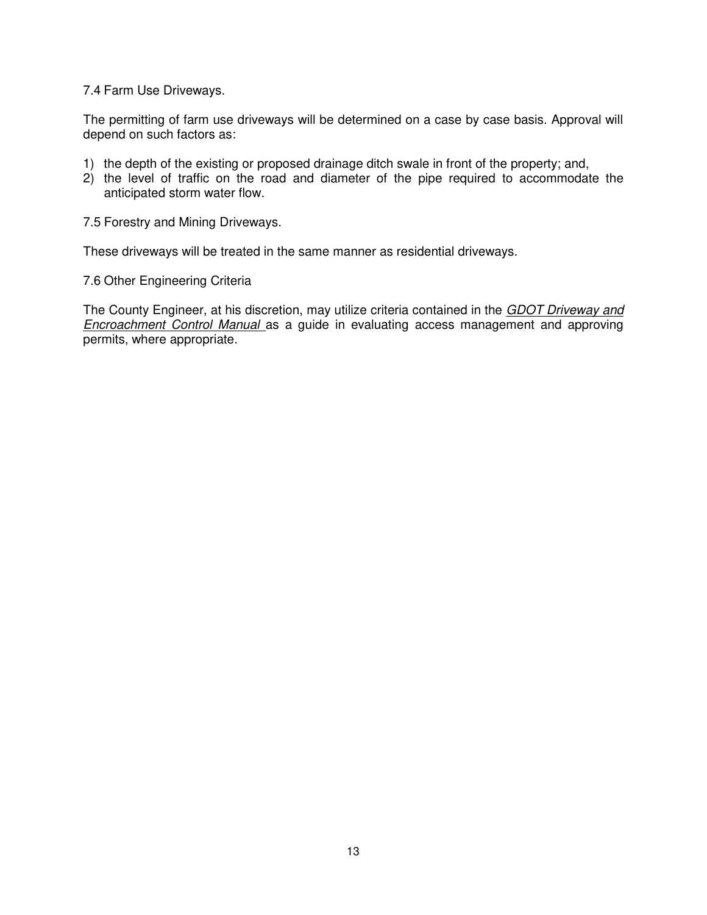## 7.4 Farm Use Driveways.

The permitting of farm use driveways will be determined on a case by case basis. Approval will depend on such factors as:

- 1) the depth of the existing or proposed drainage ditch swale in front of the property; and,
- 2) the level of traffic on the road and diameter of the pipe required to accommodate the anticipated storm water flow.

7.5 Forestry and Mining Driveways.

These driveways will be treated in the same manner as residential driveways.

7.6 Other Engineering Criteria

The County Engineer, at his discretion, may utilize criteria contained in the GDOT Driveway and **Encroachment Control Manual** as a guide in evaluating access management and approving permits, where appropriate.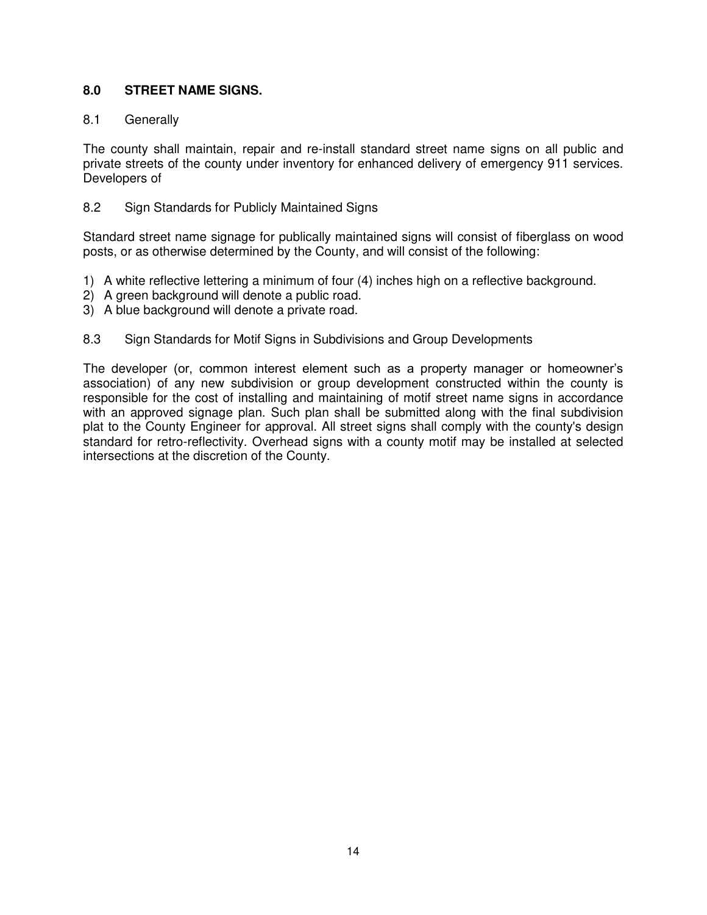# **8.0 STREET NAME SIGNS.**

## 8.1 Generally

The county shall maintain, repair and re-install standard street name signs on all public and private streets of the county under inventory for enhanced delivery of emergency 911 services. Developers of

## 8.2 Sign Standards for Publicly Maintained Signs

Standard street name signage for publically maintained signs will consist of fiberglass on wood posts, or as otherwise determined by the County, and will consist of the following:

- 1) A white reflective lettering a minimum of four (4) inches high on a reflective background.
- 2) A green background will denote a public road.
- 3) A blue background will denote a private road.
- 8.3 Sign Standards for Motif Signs in Subdivisions and Group Developments

The developer (or, common interest element such as a property manager or homeowner's association) of any new subdivision or group development constructed within the county is responsible for the cost of installing and maintaining of motif street name signs in accordance with an approved signage plan. Such plan shall be submitted along with the final subdivision plat to the County Engineer for approval. All street signs shall comply with the county's design standard for retro-reflectivity. Overhead signs with a county motif may be installed at selected intersections at the discretion of the County.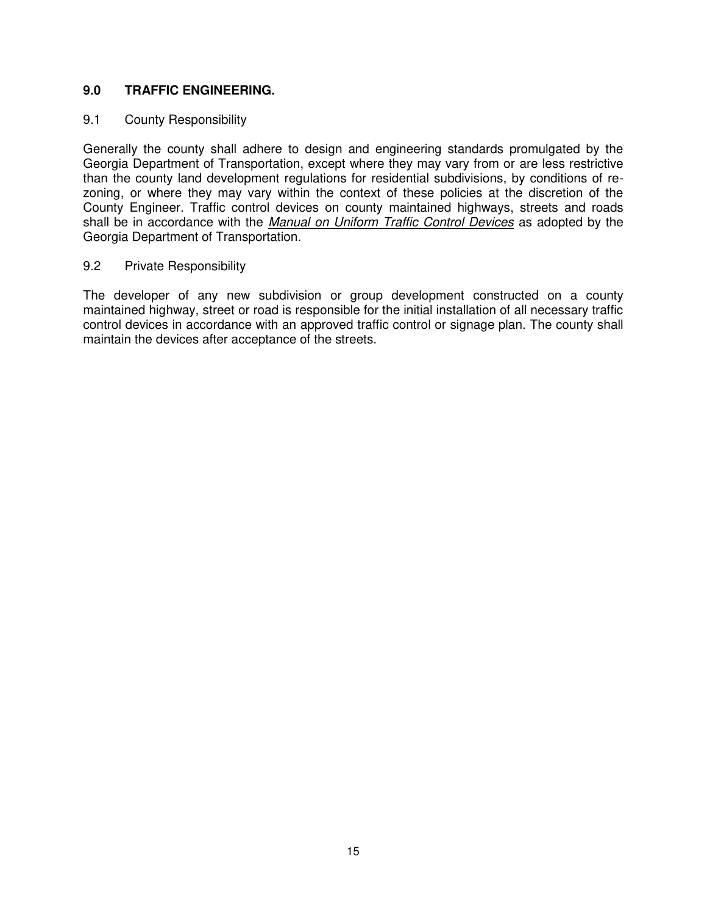# **9.0 TRAFFIC ENGINEERING.**

## 9.1 County Responsibility

Generally the county shall adhere to design and engineering standards promulgated by the Georgia Department of Transportation, except where they may vary from or are less restrictive than the county land development regulations for residential subdivisions, by conditions of rezoning, or where they may vary within the context of these policies at the discretion of the County Engineer. Traffic control devices on county maintained highways, streets and roads shall be in accordance with the Manual on Uniform Traffic Control Devices as adopted by the Georgia Department of Transportation.

## 9.2 Private Responsibility

The developer of any new subdivision or group development constructed on a county maintained highway, street or road is responsible for the initial installation of all necessary traffic control devices in accordance with an approved traffic control or signage plan. The county shall maintain the devices after acceptance of the streets.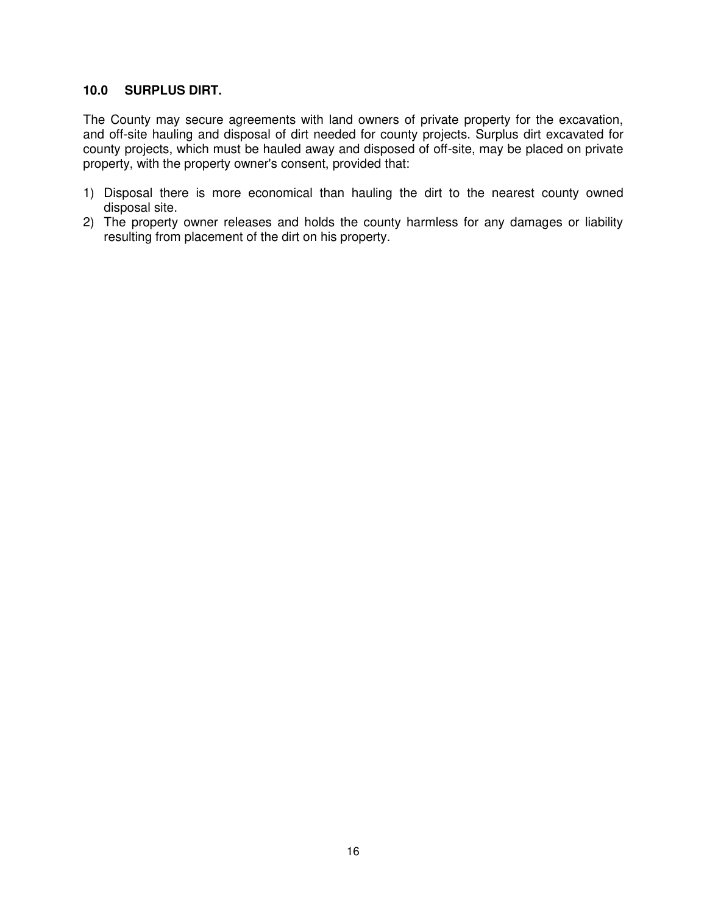#### **10.0 SURPLUS DIRT.**

The County may secure agreements with land owners of private property for the excavation, and off-site hauling and disposal of dirt needed for county projects. Surplus dirt excavated for county projects, which must be hauled away and disposed of off-site, may be placed on private property, with the property owner's consent, provided that:

- 1) Disposal there is more economical than hauling the dirt to the nearest county owned disposal site.
- 2) The property owner releases and holds the county harmless for any damages or liability resulting from placement of the dirt on his property.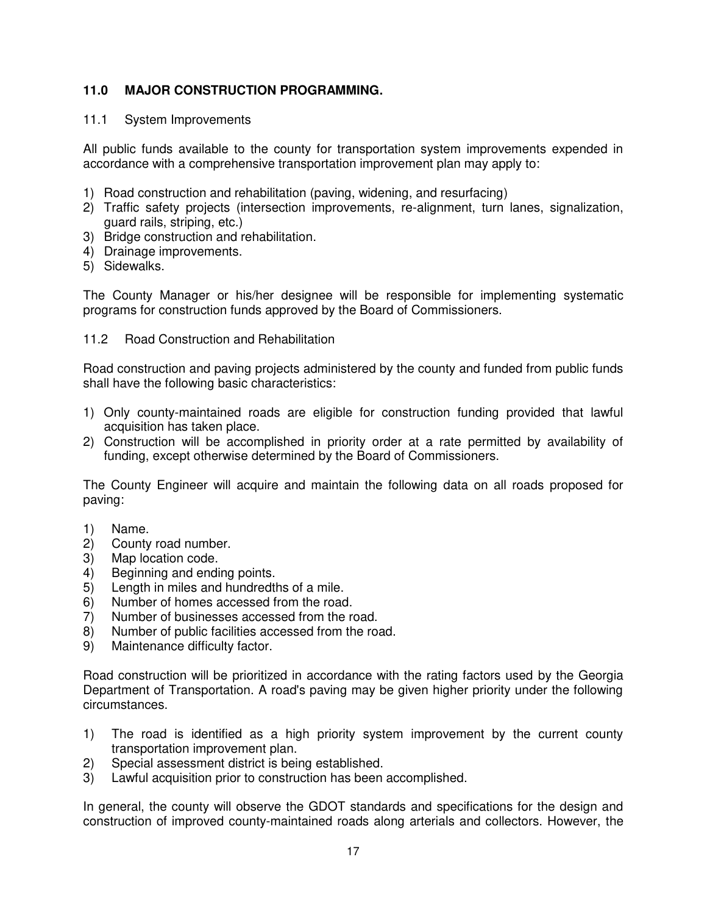# **11.0 MAJOR CONSTRUCTION PROGRAMMING.**

## 11.1 System Improvements

All public funds available to the county for transportation system improvements expended in accordance with a comprehensive transportation improvement plan may apply to:

- 1) Road construction and rehabilitation (paving, widening, and resurfacing)
- 2) Traffic safety projects (intersection improvements, re-alignment, turn lanes, signalization, guard rails, striping, etc.)
- 3) Bridge construction and rehabilitation.
- 4) Drainage improvements.
- 5) Sidewalks.

The County Manager or his/her designee will be responsible for implementing systematic programs for construction funds approved by the Board of Commissioners.

#### 11.2 Road Construction and Rehabilitation

Road construction and paving projects administered by the county and funded from public funds shall have the following basic characteristics:

- 1) Only county-maintained roads are eligible for construction funding provided that lawful acquisition has taken place.
- 2) Construction will be accomplished in priority order at a rate permitted by availability of funding, except otherwise determined by the Board of Commissioners.

The County Engineer will acquire and maintain the following data on all roads proposed for paving:

- 1) Name.
- 2) County road number.
- 3) Map location code.
- 4) Beginning and ending points.
- 5) Length in miles and hundredths of a mile.
- 6) Number of homes accessed from the road.
- 7) Number of businesses accessed from the road.
- 8) Number of public facilities accessed from the road.
- 9) Maintenance difficulty factor.

Road construction will be prioritized in accordance with the rating factors used by the Georgia Department of Transportation. A road's paving may be given higher priority under the following circumstances.

- 1) The road is identified as a high priority system improvement by the current county transportation improvement plan.
- 2) Special assessment district is being established.
- 3) Lawful acquisition prior to construction has been accomplished.

In general, the county will observe the GDOT standards and specifications for the design and construction of improved county-maintained roads along arterials and collectors. However, the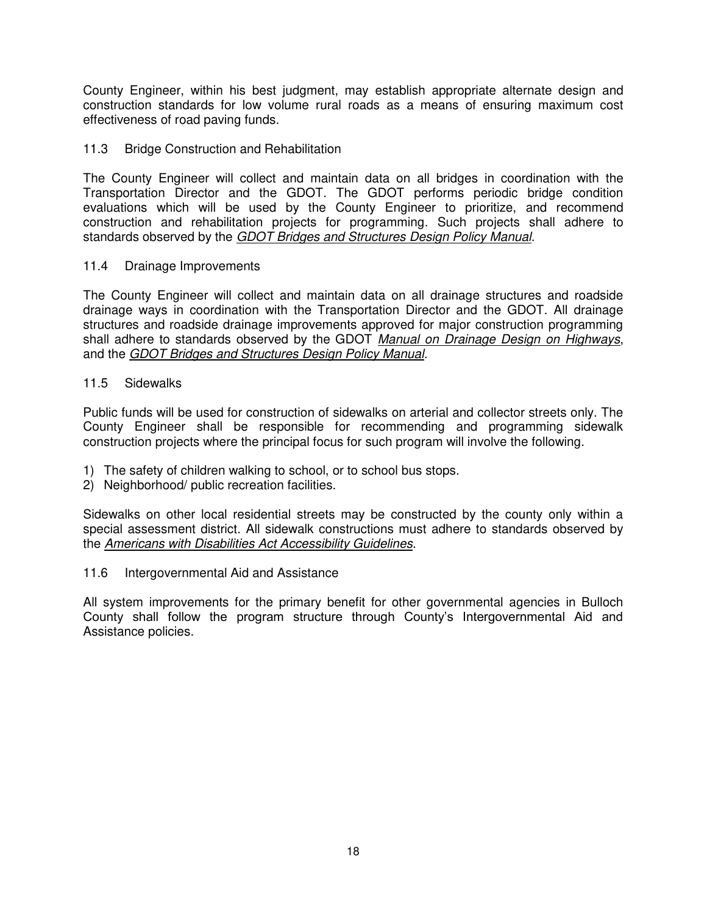County Engineer, within his best judgment, may establish appropriate alternate design and construction standards for low volume rural roads as a means of ensuring maximum cost effectiveness of road paving funds.

## 11.3 Bridge Construction and Rehabilitation

The County Engineer will collect and maintain data on all bridges in coordination with the Transportation Director and the GDOT. The GDOT performs periodic bridge condition evaluations which will be used by the County Engineer to prioritize, and recommend construction and rehabilitation projects for programming. Such projects shall adhere to standards observed by the GDOT Bridges and Structures Design Policy Manual.

### 11.4 Drainage Improvements

The County Engineer will collect and maintain data on all drainage structures and roadside drainage ways in coordination with the Transportation Director and the GDOT. All drainage structures and roadside drainage improvements approved for major construction programming shall adhere to standards observed by the GDOT Manual on Drainage Design on Highways, and the GDOT Bridges and Structures Design Policy Manual.

### 11.5 Sidewalks

Public funds will be used for construction of sidewalks on arterial and collector streets only. The County Engineer shall be responsible for recommending and programming sidewalk construction projects where the principal focus for such program will involve the following.

- 1) The safety of children walking to school, or to school bus stops.
- 2) Neighborhood/ public recreation facilities.

Sidewalks on other local residential streets may be constructed by the county only within a special assessment district. All sidewalk constructions must adhere to standards observed by the Americans with Disabilities Act Accessibility Guidelines.

11.6 Intergovernmental Aid and Assistance

All system improvements for the primary benefit for other governmental agencies in Bulloch County shall follow the program structure through County's Intergovernmental Aid and Assistance policies.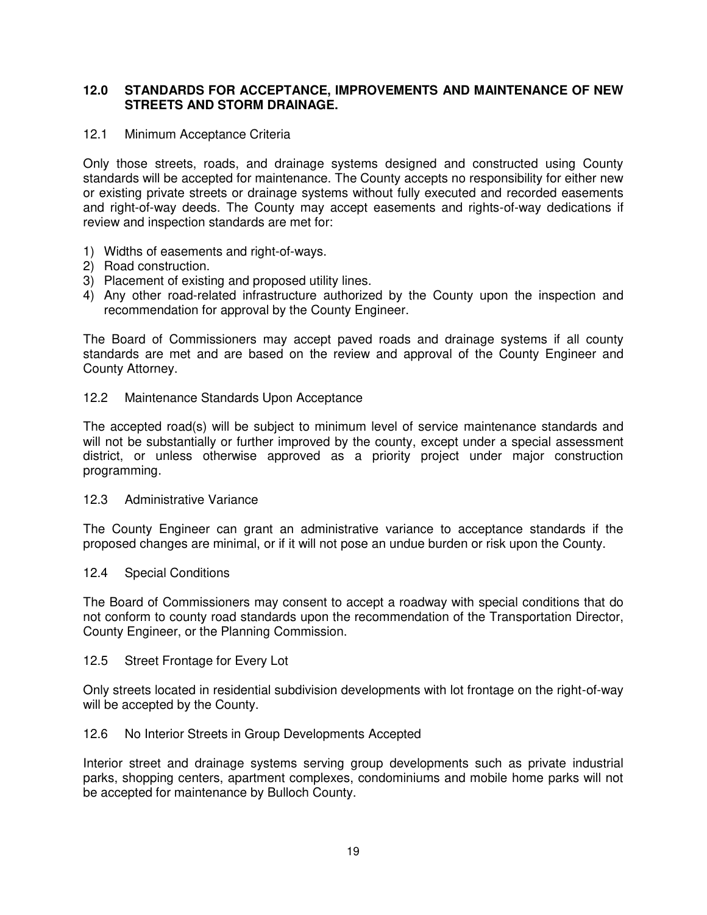## **12.0 STANDARDS FOR ACCEPTANCE, IMPROVEMENTS AND MAINTENANCE OF NEW STREETS AND STORM DRAINAGE.**

#### 12.1 Minimum Acceptance Criteria

Only those streets, roads, and drainage systems designed and constructed using County standards will be accepted for maintenance. The County accepts no responsibility for either new or existing private streets or drainage systems without fully executed and recorded easements and right-of-way deeds. The County may accept easements and rights-of-way dedications if review and inspection standards are met for:

- 1) Widths of easements and right-of-ways.
- 2) Road construction.
- 3) Placement of existing and proposed utility lines.
- 4) Any other road-related infrastructure authorized by the County upon the inspection and recommendation for approval by the County Engineer.

The Board of Commissioners may accept paved roads and drainage systems if all county standards are met and are based on the review and approval of the County Engineer and County Attorney.

#### 12.2 Maintenance Standards Upon Acceptance

The accepted road(s) will be subject to minimum level of service maintenance standards and will not be substantially or further improved by the county, except under a special assessment district, or unless otherwise approved as a priority project under major construction programming.

#### 12.3 Administrative Variance

The County Engineer can grant an administrative variance to acceptance standards if the proposed changes are minimal, or if it will not pose an undue burden or risk upon the County.

#### 12.4 Special Conditions

The Board of Commissioners may consent to accept a roadway with special conditions that do not conform to county road standards upon the recommendation of the Transportation Director, County Engineer, or the Planning Commission.

#### 12.5 Street Frontage for Every Lot

Only streets located in residential subdivision developments with lot frontage on the right-of-way will be accepted by the County.

#### 12.6 No Interior Streets in Group Developments Accepted

Interior street and drainage systems serving group developments such as private industrial parks, shopping centers, apartment complexes, condominiums and mobile home parks will not be accepted for maintenance by Bulloch County.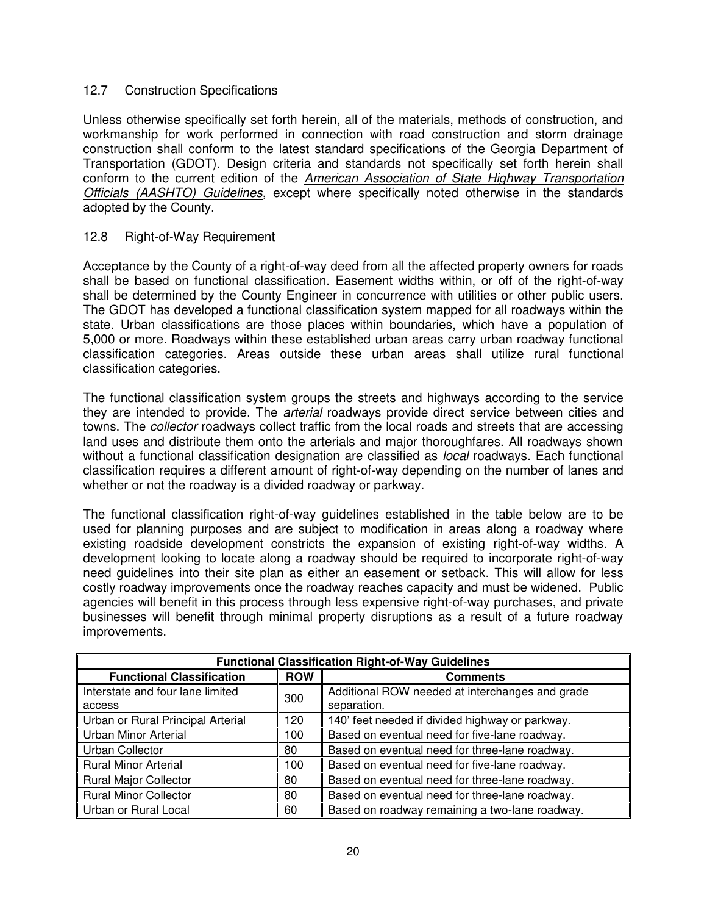## 12.7 Construction Specifications

Unless otherwise specifically set forth herein, all of the materials, methods of construction, and workmanship for work performed in connection with road construction and storm drainage construction shall conform to the latest standard specifications of the Georgia Department of Transportation (GDOT). Design criteria and standards not specifically set forth herein shall conform to the current edition of the American Association of State Highway Transportation Officials (AASHTO) Guidelines, except where specifically noted otherwise in the standards adopted by the County.

#### 12.8 Right-of-Way Requirement

Acceptance by the County of a right-of-way deed from all the affected property owners for roads shall be based on functional classification. Easement widths within, or off of the right-of-way shall be determined by the County Engineer in concurrence with utilities or other public users. The GDOT has developed a functional classification system mapped for all roadways within the state. Urban classifications are those places within boundaries, which have a population of 5,000 or more. Roadways within these established urban areas carry urban roadway functional classification categories. Areas outside these urban areas shall utilize rural functional classification categories.

The functional classification system groups the streets and highways according to the service they are intended to provide. The arterial roadways provide direct service between cities and towns. The *collector* roadways collect traffic from the local roads and streets that are accessing land uses and distribute them onto the arterials and major thoroughfares. All roadways shown without a functional classification designation are classified as *local* roadways. Each functional classification requires a different amount of right-of-way depending on the number of lanes and whether or not the roadway is a divided roadway or parkway.

The functional classification right-of-way guidelines established in the table below are to be used for planning purposes and are subject to modification in areas along a roadway where existing roadside development constricts the expansion of existing right-of-way widths. A development looking to locate along a roadway should be required to incorporate right-of-way need guidelines into their site plan as either an easement or setback. This will allow for less costly roadway improvements once the roadway reaches capacity and must be widened. Public agencies will benefit in this process through less expensive right-of-way purchases, and private businesses will benefit through minimal property disruptions as a result of a future roadway improvements.

| <b>Functional Classification Right-of-Way Guidelines</b> |            |                                                 |  |
|----------------------------------------------------------|------------|-------------------------------------------------|--|
| <b>Functional Classification</b>                         | <b>ROW</b> | <b>Comments</b>                                 |  |
| Interstate and four lane limited                         |            | Additional ROW needed at interchanges and grade |  |
| access                                                   | 300        | separation.                                     |  |
| Urban or Rural Principal Arterial                        | 120        | 140' feet needed if divided highway or parkway. |  |
| <b>Urban Minor Arterial</b>                              | 100        | Based on eventual need for five-lane roadway.   |  |
| Urban Collector                                          | 80         | Based on eventual need for three-lane roadway.  |  |
| <b>Rural Minor Arterial</b>                              | 100        | Based on eventual need for five-lane roadway.   |  |
| <b>Rural Major Collector</b>                             | 80         | Based on eventual need for three-lane roadway.  |  |
| <b>Rural Minor Collector</b>                             | 80         | Based on eventual need for three-lane roadway.  |  |
| Urban or Rural Local                                     | 60         | Based on roadway remaining a two-lane roadway.  |  |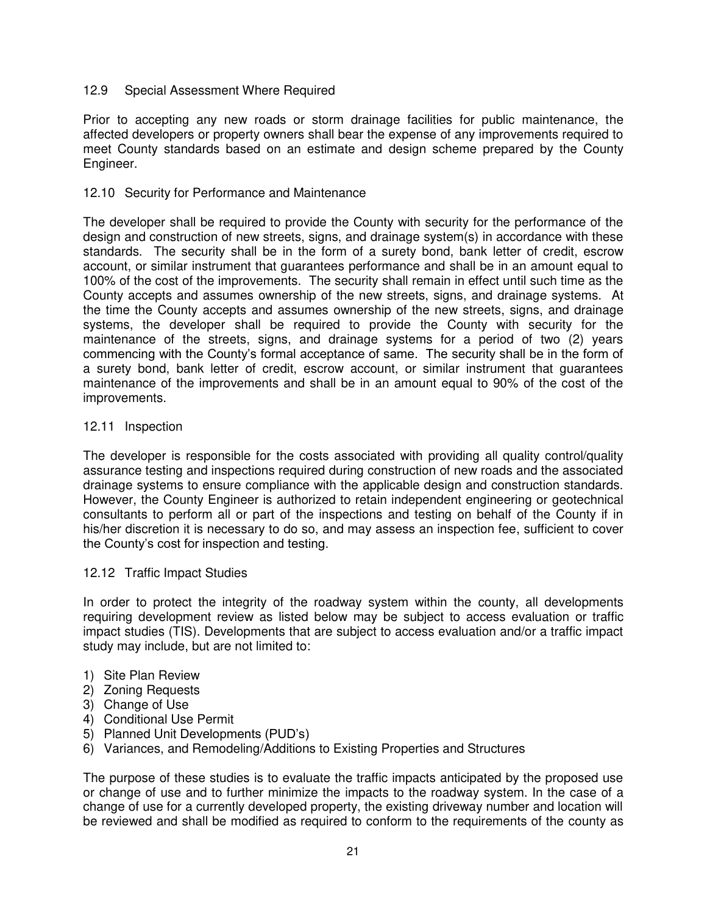## 12.9 Special Assessment Where Required

Prior to accepting any new roads or storm drainage facilities for public maintenance, the affected developers or property owners shall bear the expense of any improvements required to meet County standards based on an estimate and design scheme prepared by the County Engineer.

#### 12.10 Security for Performance and Maintenance

The developer shall be required to provide the County with security for the performance of the design and construction of new streets, signs, and drainage system(s) in accordance with these standards. The security shall be in the form of a surety bond, bank letter of credit, escrow account, or similar instrument that guarantees performance and shall be in an amount equal to 100% of the cost of the improvements. The security shall remain in effect until such time as the County accepts and assumes ownership of the new streets, signs, and drainage systems. At the time the County accepts and assumes ownership of the new streets, signs, and drainage systems, the developer shall be required to provide the County with security for the maintenance of the streets, signs, and drainage systems for a period of two (2) years commencing with the County's formal acceptance of same. The security shall be in the form of a surety bond, bank letter of credit, escrow account, or similar instrument that guarantees maintenance of the improvements and shall be in an amount equal to 90% of the cost of the improvements.

#### 12.11 Inspection

The developer is responsible for the costs associated with providing all quality control/quality assurance testing and inspections required during construction of new roads and the associated drainage systems to ensure compliance with the applicable design and construction standards. However, the County Engineer is authorized to retain independent engineering or geotechnical consultants to perform all or part of the inspections and testing on behalf of the County if in his/her discretion it is necessary to do so, and may assess an inspection fee, sufficient to cover the County's cost for inspection and testing.

#### 12.12 Traffic Impact Studies

In order to protect the integrity of the roadway system within the county, all developments requiring development review as listed below may be subject to access evaluation or traffic impact studies (TIS). Developments that are subject to access evaluation and/or a traffic impact study may include, but are not limited to:

- 1) Site Plan Review
- 2) Zoning Requests
- 3) Change of Use
- 4) Conditional Use Permit
- 5) Planned Unit Developments (PUD's)
- 6) Variances, and Remodeling/Additions to Existing Properties and Structures

The purpose of these studies is to evaluate the traffic impacts anticipated by the proposed use or change of use and to further minimize the impacts to the roadway system. In the case of a change of use for a currently developed property, the existing driveway number and location will be reviewed and shall be modified as required to conform to the requirements of the county as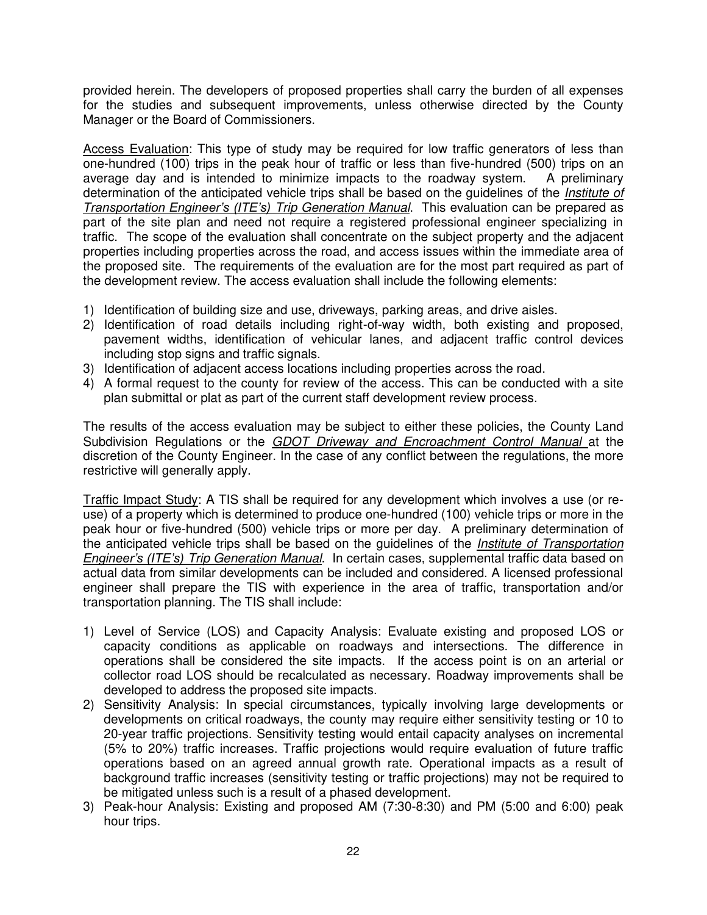provided herein. The developers of proposed properties shall carry the burden of all expenses for the studies and subsequent improvements, unless otherwise directed by the County Manager or the Board of Commissioners.

Access Evaluation: This type of study may be required for low traffic generators of less than one-hundred (100) trips in the peak hour of traffic or less than five-hundred (500) trips on an average day and is intended to minimize impacts to the roadway system. A preliminary determination of the anticipated vehicle trips shall be based on the quidelines of the *Institute of Transportation Engineer's (ITE's)* Trip Generation Manual. This evaluation can be prepared as part of the site plan and need not require a registered professional engineer specializing in traffic. The scope of the evaluation shall concentrate on the subject property and the adjacent properties including properties across the road, and access issues within the immediate area of the proposed site. The requirements of the evaluation are for the most part required as part of the development review. The access evaluation shall include the following elements:

- 1) Identification of building size and use, driveways, parking areas, and drive aisles.
- 2) Identification of road details including right-of-way width, both existing and proposed, pavement widths, identification of vehicular lanes, and adjacent traffic control devices including stop signs and traffic signals.
- 3) Identification of adjacent access locations including properties across the road.
- 4) A formal request to the county for review of the access. This can be conducted with a site plan submittal or plat as part of the current staff development review process.

The results of the access evaluation may be subject to either these policies, the County Land Subdivision Regulations or the GDOT Driveway and Encroachment Control Manual at the discretion of the County Engineer. In the case of any conflict between the regulations, the more restrictive will generally apply.

Traffic Impact Study: A TIS shall be required for any development which involves a use (or reuse) of a property which is determined to produce one-hundred (100) vehicle trips or more in the peak hour or five-hundred (500) vehicle trips or more per day. A preliminary determination of the anticipated vehicle trips shall be based on the guidelines of the *Institute of Transportation Engineer's (ITE's)* Trip Generation Manual. In certain cases, supplemental traffic data based on actual data from similar developments can be included and considered. A licensed professional engineer shall prepare the TIS with experience in the area of traffic, transportation and/or transportation planning. The TIS shall include:

- 1) Level of Service (LOS) and Capacity Analysis: Evaluate existing and proposed LOS or capacity conditions as applicable on roadways and intersections. The difference in operations shall be considered the site impacts. If the access point is on an arterial or collector road LOS should be recalculated as necessary. Roadway improvements shall be developed to address the proposed site impacts.
- 2) Sensitivity Analysis: In special circumstances, typically involving large developments or developments on critical roadways, the county may require either sensitivity testing or 10 to 20-year traffic projections. Sensitivity testing would entail capacity analyses on incremental (5% to 20%) traffic increases. Traffic projections would require evaluation of future traffic operations based on an agreed annual growth rate. Operational impacts as a result of background traffic increases (sensitivity testing or traffic projections) may not be required to be mitigated unless such is a result of a phased development.
- 3) Peak-hour Analysis: Existing and proposed AM (7:30-8:30) and PM (5:00 and 6:00) peak hour trips.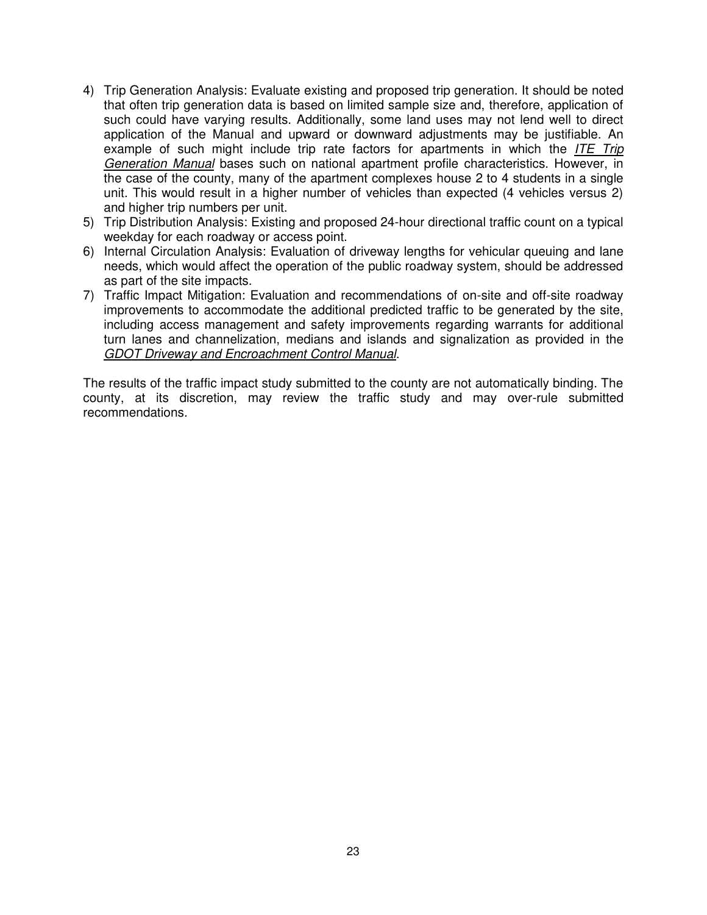- 4) Trip Generation Analysis: Evaluate existing and proposed trip generation. It should be noted that often trip generation data is based on limited sample size and, therefore, application of such could have varying results. Additionally, some land uses may not lend well to direct application of the Manual and upward or downward adjustments may be justifiable. An example of such might include trip rate factors for apartments in which the *ITE Trip* Generation Manual bases such on national apartment profile characteristics. However, in the case of the county, many of the apartment complexes house 2 to 4 students in a single unit. This would result in a higher number of vehicles than expected (4 vehicles versus 2) and higher trip numbers per unit.
- 5) Trip Distribution Analysis: Existing and proposed 24-hour directional traffic count on a typical weekday for each roadway or access point.
- 6) Internal Circulation Analysis: Evaluation of driveway lengths for vehicular queuing and lane needs, which would affect the operation of the public roadway system, should be addressed as part of the site impacts.
- 7) Traffic Impact Mitigation: Evaluation and recommendations of on-site and off-site roadway improvements to accommodate the additional predicted traffic to be generated by the site, including access management and safety improvements regarding warrants for additional turn lanes and channelization, medians and islands and signalization as provided in the GDOT Driveway and Encroachment Control Manual.

The results of the traffic impact study submitted to the county are not automatically binding. The county, at its discretion, may review the traffic study and may over-rule submitted recommendations.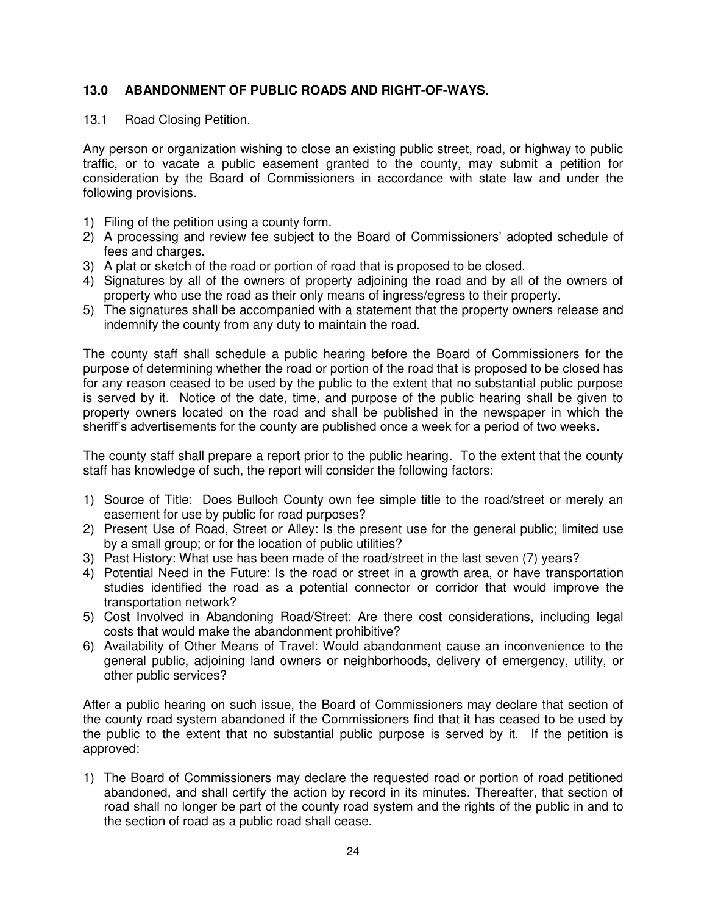# **13.0 ABANDONMENT OF PUBLIC ROADS AND RIGHT-OF-WAYS.**

### 13.1 Road Closing Petition.

Any person or organization wishing to close an existing public street, road, or highway to public traffic, or to vacate a public easement granted to the county, may submit a petition for consideration by the Board of Commissioners in accordance with state law and under the following provisions.

- 1) Filing of the petition using a county form.
- 2) A processing and review fee subject to the Board of Commissioners' adopted schedule of fees and charges.
- 3) A plat or sketch of the road or portion of road that is proposed to be closed.
- 4) Signatures by all of the owners of property adjoining the road and by all of the owners of property who use the road as their only means of ingress/egress to their property.
- 5) The signatures shall be accompanied with a statement that the property owners release and indemnify the county from any duty to maintain the road.

The county staff shall schedule a public hearing before the Board of Commissioners for the purpose of determining whether the road or portion of the road that is proposed to be closed has for any reason ceased to be used by the public to the extent that no substantial public purpose is served by it. Notice of the date, time, and purpose of the public hearing shall be given to property owners located on the road and shall be published in the newspaper in which the sheriff's advertisements for the county are published once a week for a period of two weeks.

The county staff shall prepare a report prior to the public hearing. To the extent that the county staff has knowledge of such, the report will consider the following factors:

- 1) Source of Title: Does Bulloch County own fee simple title to the road/street or merely an easement for use by public for road purposes?
- 2) Present Use of Road, Street or Alley: Is the present use for the general public; limited use by a small group; or for the location of public utilities?
- 3) Past History: What use has been made of the road/street in the last seven (7) years?
- 4) Potential Need in the Future: Is the road or street in a growth area, or have transportation studies identified the road as a potential connector or corridor that would improve the transportation network?
- 5) Cost Involved in Abandoning Road/Street: Are there cost considerations, including legal costs that would make the abandonment prohibitive?
- 6) Availability of Other Means of Travel: Would abandonment cause an inconvenience to the general public, adjoining land owners or neighborhoods, delivery of emergency, utility, or other public services?

After a public hearing on such issue, the Board of Commissioners may declare that section of the county road system abandoned if the Commissioners find that it has ceased to be used by the public to the extent that no substantial public purpose is served by it. If the petition is approved:

1) The Board of Commissioners may declare the requested road or portion of road petitioned abandoned, and shall certify the action by record in its minutes. Thereafter, that section of road shall no longer be part of the county road system and the rights of the public in and to the section of road as a public road shall cease.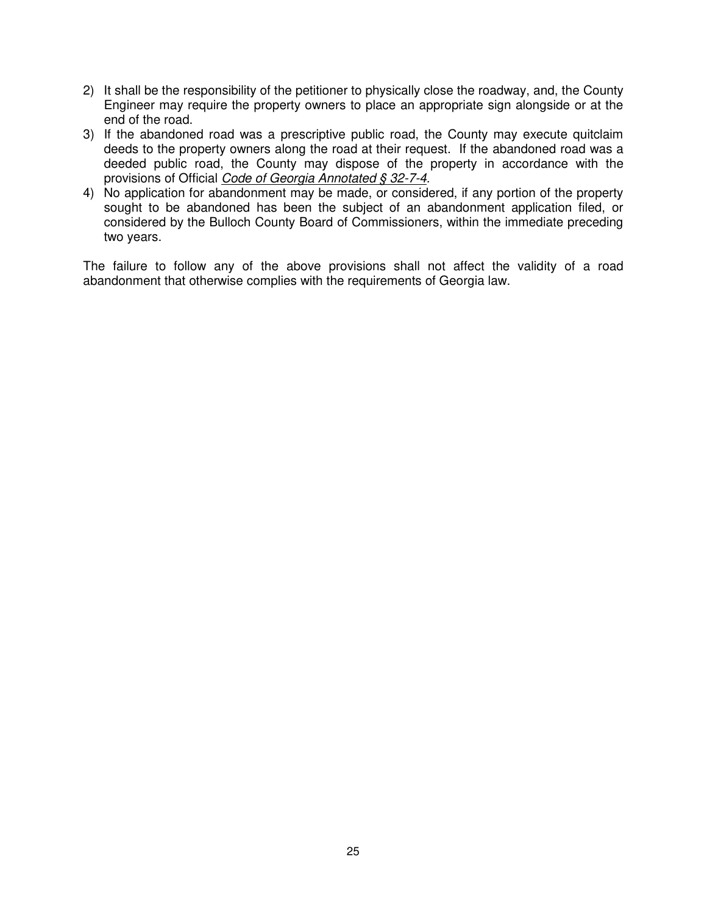- 2) It shall be the responsibility of the petitioner to physically close the roadway, and, the County Engineer may require the property owners to place an appropriate sign alongside or at the end of the road.
- 3) If the abandoned road was a prescriptive public road, the County may execute quitclaim deeds to the property owners along the road at their request. If the abandoned road was a deeded public road, the County may dispose of the property in accordance with the provisions of Official Code of Georgia Annotated § 32-7-4.
- 4) No application for abandonment may be made, or considered, if any portion of the property sought to be abandoned has been the subject of an abandonment application filed, or considered by the Bulloch County Board of Commissioners, within the immediate preceding two years.

The failure to follow any of the above provisions shall not affect the validity of a road abandonment that otherwise complies with the requirements of Georgia law.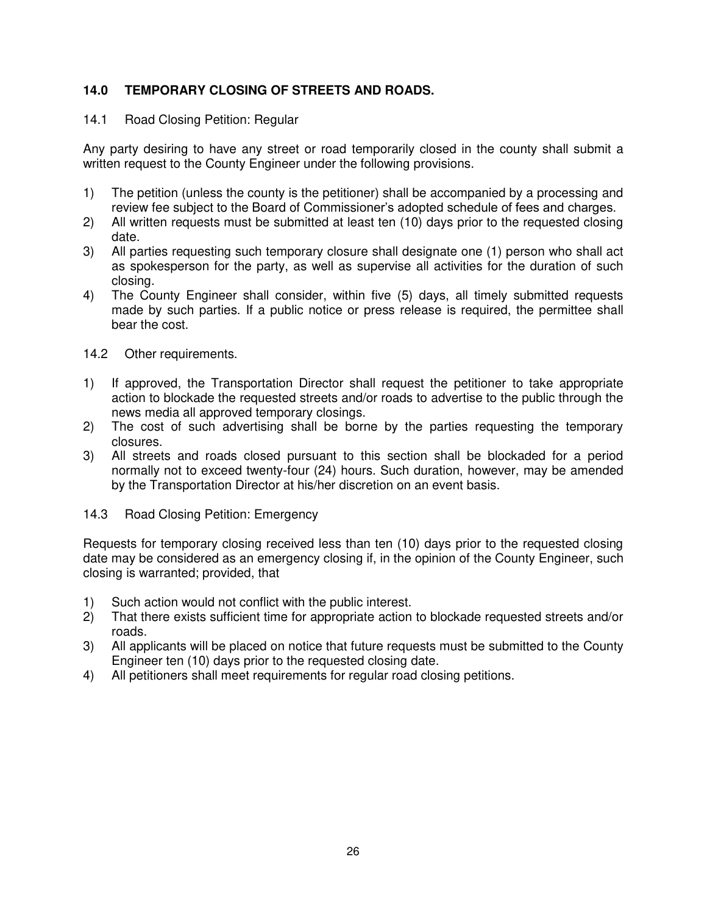# **14.0 TEMPORARY CLOSING OF STREETS AND ROADS.**

## 14.1 Road Closing Petition: Regular

Any party desiring to have any street or road temporarily closed in the county shall submit a written request to the County Engineer under the following provisions.

- 1) The petition (unless the county is the petitioner) shall be accompanied by a processing and review fee subject to the Board of Commissioner's adopted schedule of fees and charges.
- 2) All written requests must be submitted at least ten (10) days prior to the requested closing date.
- 3) All parties requesting such temporary closure shall designate one (1) person who shall act as spokesperson for the party, as well as supervise all activities for the duration of such closing.
- 4) The County Engineer shall consider, within five (5) days, all timely submitted requests made by such parties. If a public notice or press release is required, the permittee shall bear the cost.
- 14.2 Other requirements.
- 1) If approved, the Transportation Director shall request the petitioner to take appropriate action to blockade the requested streets and/or roads to advertise to the public through the news media all approved temporary closings.
- 2) The cost of such advertising shall be borne by the parties requesting the temporary closures.
- 3) All streets and roads closed pursuant to this section shall be blockaded for a period normally not to exceed twenty-four (24) hours. Such duration, however, may be amended by the Transportation Director at his/her discretion on an event basis.
- 14.3 Road Closing Petition: Emergency

Requests for temporary closing received less than ten (10) days prior to the requested closing date may be considered as an emergency closing if, in the opinion of the County Engineer, such closing is warranted; provided, that

- 1) Such action would not conflict with the public interest.
- 2) That there exists sufficient time for appropriate action to blockade requested streets and/or roads.
- 3) All applicants will be placed on notice that future requests must be submitted to the County Engineer ten (10) days prior to the requested closing date.
- 4) All petitioners shall meet requirements for regular road closing petitions.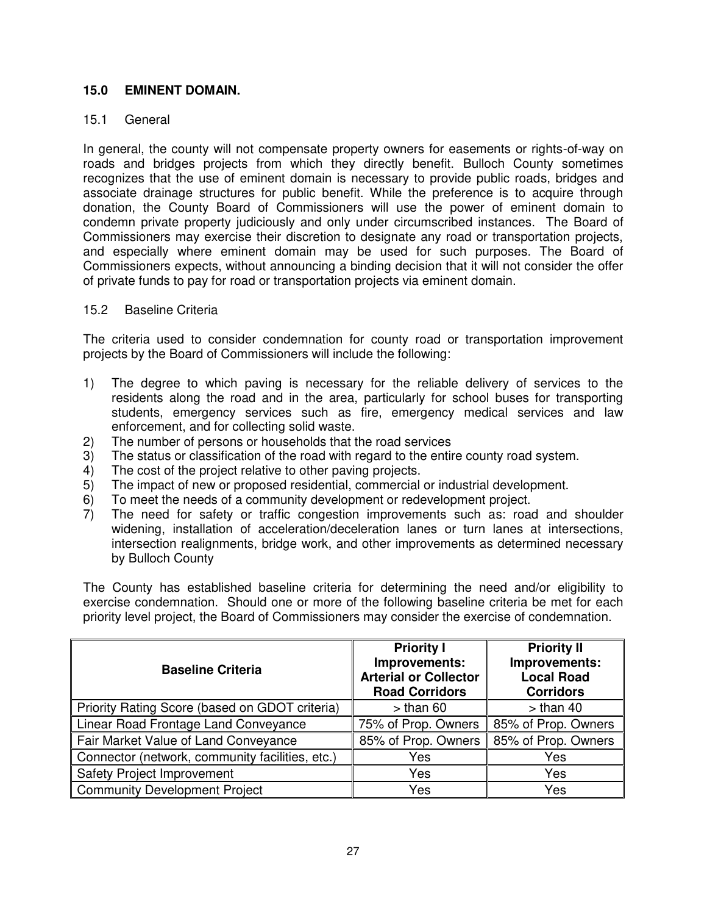## **15.0 EMINENT DOMAIN.**

## 15.1 General

In general, the county will not compensate property owners for easements or rights-of-way on roads and bridges projects from which they directly benefit. Bulloch County sometimes recognizes that the use of eminent domain is necessary to provide public roads, bridges and associate drainage structures for public benefit. While the preference is to acquire through donation, the County Board of Commissioners will use the power of eminent domain to condemn private property judiciously and only under circumscribed instances. The Board of Commissioners may exercise their discretion to designate any road or transportation projects, and especially where eminent domain may be used for such purposes. The Board of Commissioners expects, without announcing a binding decision that it will not consider the offer of private funds to pay for road or transportation projects via eminent domain.

## 15.2 Baseline Criteria

The criteria used to consider condemnation for county road or transportation improvement projects by the Board of Commissioners will include the following:

- 1) The degree to which paving is necessary for the reliable delivery of services to the residents along the road and in the area, particularly for school buses for transporting students, emergency services such as fire, emergency medical services and law enforcement, and for collecting solid waste.
- 2) The number of persons or households that the road services
- 3) The status or classification of the road with regard to the entire county road system.
- 4) The cost of the project relative to other paving projects.
- 5) The impact of new or proposed residential, commercial or industrial development.
- 6) To meet the needs of a community development or redevelopment project.<br>
7) The need for safety or traffic congestion improvements such as: road
- The need for safety or traffic congestion improvements such as: road and shoulder widening, installation of acceleration/deceleration lanes or turn lanes at intersections, intersection realignments, bridge work, and other improvements as determined necessary by Bulloch County

The County has established baseline criteria for determining the need and/or eligibility to exercise condemnation. Should one or more of the following baseline criteria be met for each priority level project, the Board of Commissioners may consider the exercise of condemnation.

| <b>Baseline Criteria</b>                        | <b>Priority I</b><br>Improvements:<br><b>Arterial or Collector</b><br><b>Road Corridors</b> | <b>Priority II</b><br>Improvements:<br><b>Local Road</b><br><b>Corridors</b> |
|-------------------------------------------------|---------------------------------------------------------------------------------------------|------------------------------------------------------------------------------|
| Priority Rating Score (based on GDOT criteria)  | $>$ than 60                                                                                 | $>$ than 40                                                                  |
| Linear Road Frontage Land Conveyance            | 75% of Prop. Owners                                                                         | 85% of Prop. Owners                                                          |
| Fair Market Value of Land Conveyance            | 85% of Prop. Owners                                                                         | 85% of Prop. Owners                                                          |
| Connector (network, community facilities, etc.) | Yes                                                                                         | Yes                                                                          |
| <b>Safety Project Improvement</b>               | Yes                                                                                         | Yes                                                                          |
| <b>Community Development Project</b>            | Yes                                                                                         | Yes                                                                          |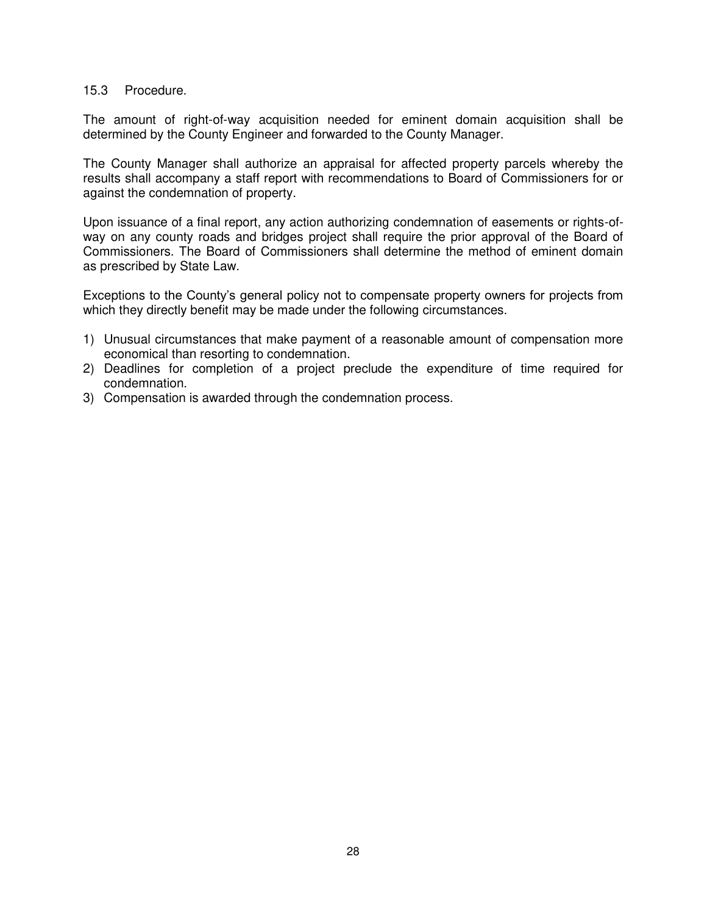#### 15.3 Procedure.

The amount of right-of-way acquisition needed for eminent domain acquisition shall be determined by the County Engineer and forwarded to the County Manager.

The County Manager shall authorize an appraisal for affected property parcels whereby the results shall accompany a staff report with recommendations to Board of Commissioners for or against the condemnation of property.

Upon issuance of a final report, any action authorizing condemnation of easements or rights-ofway on any county roads and bridges project shall require the prior approval of the Board of Commissioners. The Board of Commissioners shall determine the method of eminent domain as prescribed by State Law.

Exceptions to the County's general policy not to compensate property owners for projects from which they directly benefit may be made under the following circumstances.

- 1) Unusual circumstances that make payment of a reasonable amount of compensation more economical than resorting to condemnation.
- 2) Deadlines for completion of a project preclude the expenditure of time required for condemnation.
- 3) Compensation is awarded through the condemnation process.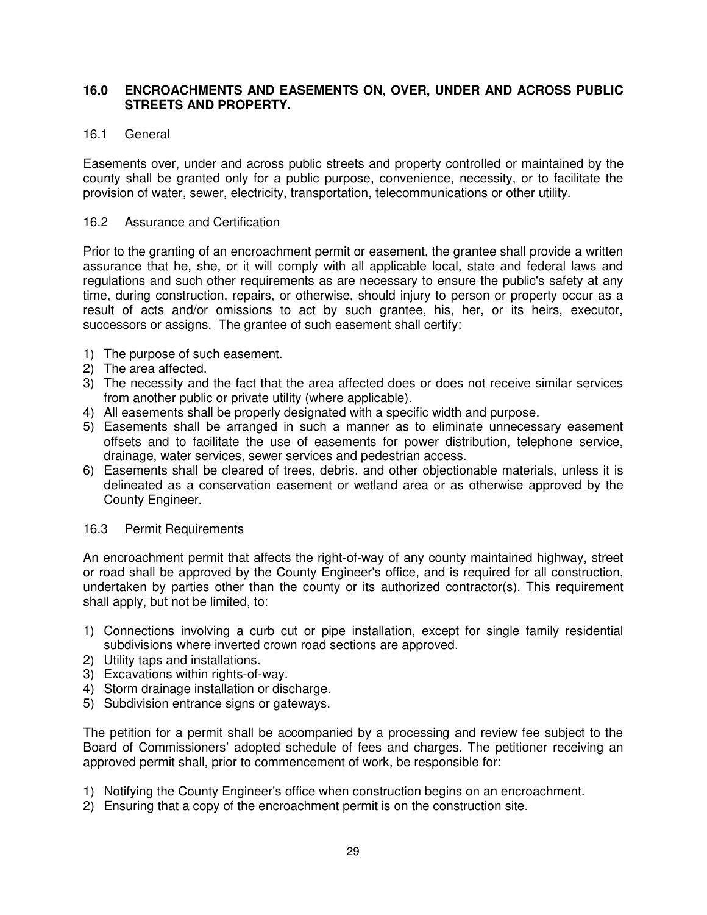## **16.0 ENCROACHMENTS AND EASEMENTS ON, OVER, UNDER AND ACROSS PUBLIC STREETS AND PROPERTY.**

# 16.1 General

Easements over, under and across public streets and property controlled or maintained by the county shall be granted only for a public purpose, convenience, necessity, or to facilitate the provision of water, sewer, electricity, transportation, telecommunications or other utility.

## 16.2 Assurance and Certification

Prior to the granting of an encroachment permit or easement, the grantee shall provide a written assurance that he, she, or it will comply with all applicable local, state and federal laws and regulations and such other requirements as are necessary to ensure the public's safety at any time, during construction, repairs, or otherwise, should injury to person or property occur as a result of acts and/or omissions to act by such grantee, his, her, or its heirs, executor, successors or assigns. The grantee of such easement shall certify:

- 1) The purpose of such easement.
- 2) The area affected.
- 3) The necessity and the fact that the area affected does or does not receive similar services from another public or private utility (where applicable).
- 4) All easements shall be properly designated with a specific width and purpose.
- 5) Easements shall be arranged in such a manner as to eliminate unnecessary easement offsets and to facilitate the use of easements for power distribution, telephone service, drainage, water services, sewer services and pedestrian access.
- 6) Easements shall be cleared of trees, debris, and other objectionable materials, unless it is delineated as a conservation easement or wetland area or as otherwise approved by the County Engineer.

## 16.3 Permit Requirements

An encroachment permit that affects the right-of-way of any county maintained highway, street or road shall be approved by the County Engineer's office, and is required for all construction, undertaken by parties other than the county or its authorized contractor(s). This requirement shall apply, but not be limited, to:

- 1) Connections involving a curb cut or pipe installation, except for single family residential subdivisions where inverted crown road sections are approved.
- 2) Utility taps and installations.
- 3) Excavations within rights-of-way.
- 4) Storm drainage installation or discharge.
- 5) Subdivision entrance signs or gateways.

The petition for a permit shall be accompanied by a processing and review fee subject to the Board of Commissioners' adopted schedule of fees and charges. The petitioner receiving an approved permit shall, prior to commencement of work, be responsible for:

- 1) Notifying the County Engineer's office when construction begins on an encroachment.
- 2) Ensuring that a copy of the encroachment permit is on the construction site.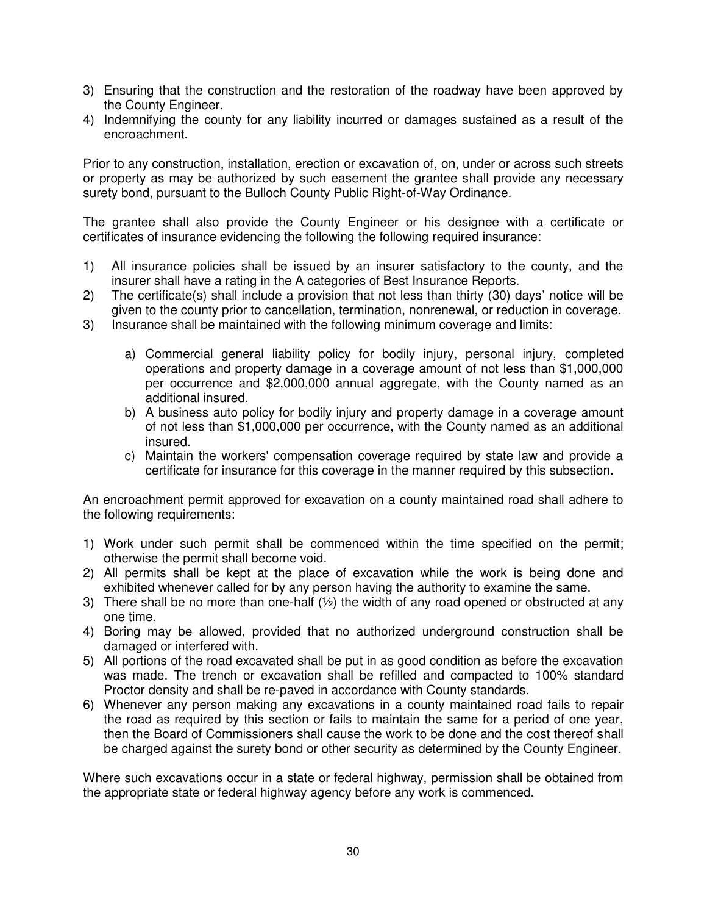- 3) Ensuring that the construction and the restoration of the roadway have been approved by the County Engineer.
- 4) Indemnifying the county for any liability incurred or damages sustained as a result of the encroachment.

Prior to any construction, installation, erection or excavation of, on, under or across such streets or property as may be authorized by such easement the grantee shall provide any necessary surety bond, pursuant to the Bulloch County Public Right-of-Way Ordinance.

The grantee shall also provide the County Engineer or his designee with a certificate or certificates of insurance evidencing the following the following required insurance:

- 1) All insurance policies shall be issued by an insurer satisfactory to the county, and the insurer shall have a rating in the A categories of Best Insurance Reports.
- 2) The certificate(s) shall include a provision that not less than thirty (30) days' notice will be given to the county prior to cancellation, termination, nonrenewal, or reduction in coverage.
- 3) Insurance shall be maintained with the following minimum coverage and limits:
	- a) Commercial general liability policy for bodily injury, personal injury, completed operations and property damage in a coverage amount of not less than \$1,000,000 per occurrence and \$2,000,000 annual aggregate, with the County named as an additional insured.
	- b) A business auto policy for bodily injury and property damage in a coverage amount of not less than \$1,000,000 per occurrence, with the County named as an additional insured.
	- c) Maintain the workers' compensation coverage required by state law and provide a certificate for insurance for this coverage in the manner required by this subsection.

An encroachment permit approved for excavation on a county maintained road shall adhere to the following requirements:

- 1) Work under such permit shall be commenced within the time specified on the permit; otherwise the permit shall become void.
- 2) All permits shall be kept at the place of excavation while the work is being done and exhibited whenever called for by any person having the authority to examine the same.
- 3) There shall be no more than one-half  $\langle \frac{1}{2} \rangle$  the width of any road opened or obstructed at any one time.
- 4) Boring may be allowed, provided that no authorized underground construction shall be damaged or interfered with.
- 5) All portions of the road excavated shall be put in as good condition as before the excavation was made. The trench or excavation shall be refilled and compacted to 100% standard Proctor density and shall be re-paved in accordance with County standards.
- 6) Whenever any person making any excavations in a county maintained road fails to repair the road as required by this section or fails to maintain the same for a period of one year, then the Board of Commissioners shall cause the work to be done and the cost thereof shall be charged against the surety bond or other security as determined by the County Engineer.

Where such excavations occur in a state or federal highway, permission shall be obtained from the appropriate state or federal highway agency before any work is commenced.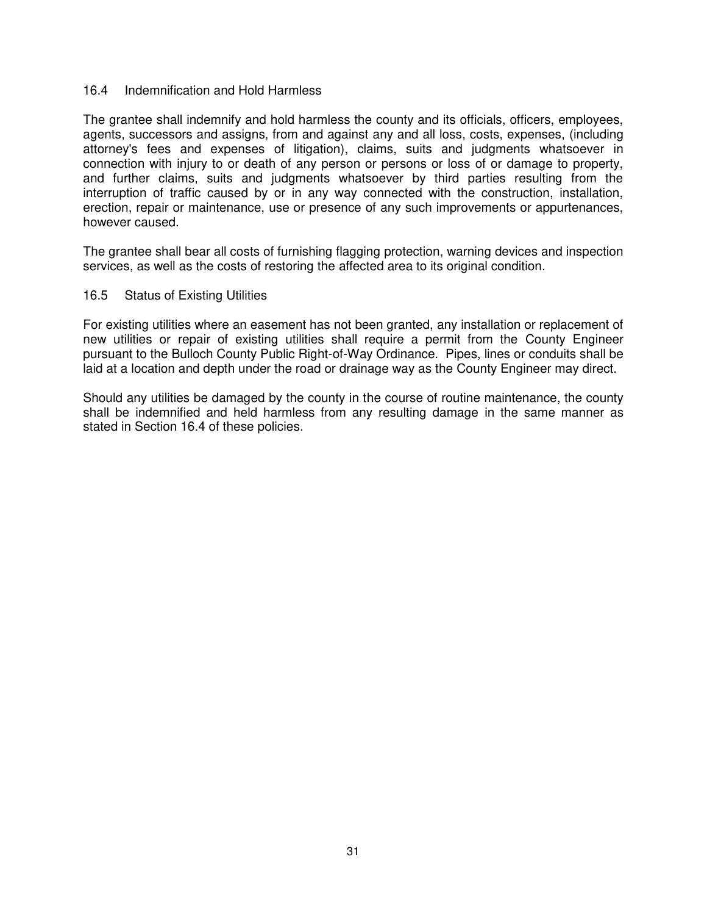#### 16.4 Indemnification and Hold Harmless

The grantee shall indemnify and hold harmless the county and its officials, officers, employees, agents, successors and assigns, from and against any and all loss, costs, expenses, (including attorney's fees and expenses of litigation), claims, suits and judgments whatsoever in connection with injury to or death of any person or persons or loss of or damage to property, and further claims, suits and judgments whatsoever by third parties resulting from the interruption of traffic caused by or in any way connected with the construction, installation, erection, repair or maintenance, use or presence of any such improvements or appurtenances, however caused.

The grantee shall bear all costs of furnishing flagging protection, warning devices and inspection services, as well as the costs of restoring the affected area to its original condition.

#### 16.5 Status of Existing Utilities

For existing utilities where an easement has not been granted, any installation or replacement of new utilities or repair of existing utilities shall require a permit from the County Engineer pursuant to the Bulloch County Public Right-of-Way Ordinance. Pipes, lines or conduits shall be laid at a location and depth under the road or drainage way as the County Engineer may direct.

Should any utilities be damaged by the county in the course of routine maintenance, the county shall be indemnified and held harmless from any resulting damage in the same manner as stated in Section 16.4 of these policies.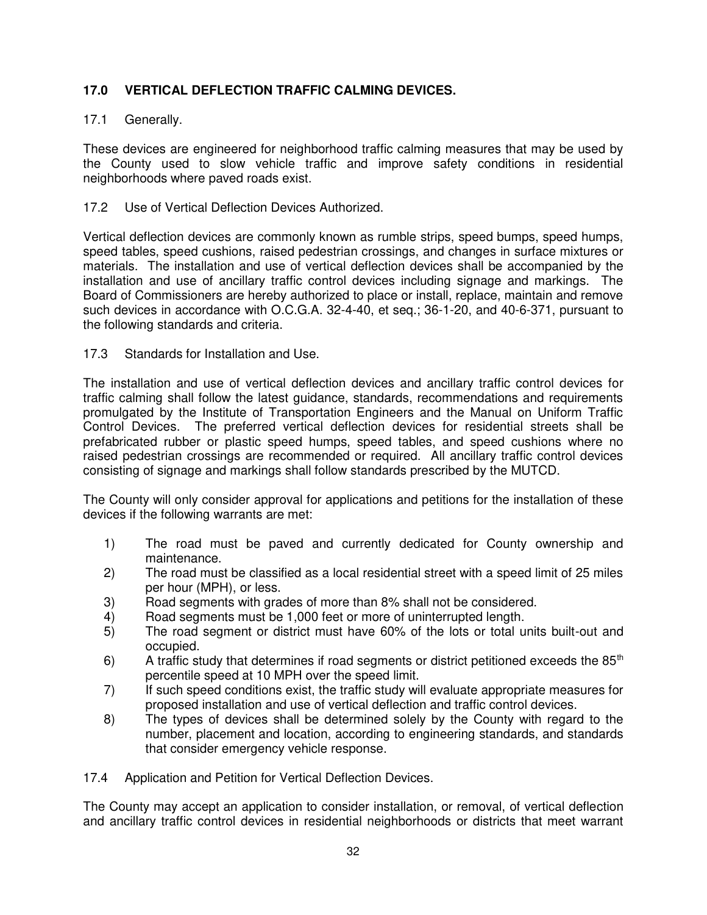# **17.0 VERTICAL DEFLECTION TRAFFIC CALMING DEVICES.**

# 17.1 Generally.

These devices are engineered for neighborhood traffic calming measures that may be used by the County used to slow vehicle traffic and improve safety conditions in residential neighborhoods where paved roads exist.

## 17.2 Use of Vertical Deflection Devices Authorized.

Vertical deflection devices are commonly known as rumble strips, speed bumps, speed humps, speed tables, speed cushions, raised pedestrian crossings, and changes in surface mixtures or materials. The installation and use of vertical deflection devices shall be accompanied by the installation and use of ancillary traffic control devices including signage and markings. The Board of Commissioners are hereby authorized to place or install, replace, maintain and remove such devices in accordance with O.C.G.A. 32-4-40, et seq.; 36-1-20, and 40-6-371, pursuant to the following standards and criteria.

# 17.3 Standards for Installation and Use.

The installation and use of vertical deflection devices and ancillary traffic control devices for traffic calming shall follow the latest guidance, standards, recommendations and requirements promulgated by the Institute of Transportation Engineers and the Manual on Uniform Traffic Control Devices. The preferred vertical deflection devices for residential streets shall be prefabricated rubber or plastic speed humps, speed tables, and speed cushions where no raised pedestrian crossings are recommended or required. All ancillary traffic control devices consisting of signage and markings shall follow standards prescribed by the MUTCD.

The County will only consider approval for applications and petitions for the installation of these devices if the following warrants are met:

- 1) The road must be paved and currently dedicated for County ownership and maintenance.
- 2) The road must be classified as a local residential street with a speed limit of 25 miles per hour (MPH), or less.
- 3) Road segments with grades of more than 8% shall not be considered.
- 4) Road segments must be 1,000 feet or more of uninterrupted length.
- 5) The road segment or district must have 60% of the lots or total units built-out and occupied.
- 6) A traffic study that determines if road segments or district petitioned exceeds the  $85<sup>th</sup>$ percentile speed at 10 MPH over the speed limit.
- 7) If such speed conditions exist, the traffic study will evaluate appropriate measures for proposed installation and use of vertical deflection and traffic control devices.
- 8) The types of devices shall be determined solely by the County with regard to the number, placement and location, according to engineering standards, and standards that consider emergency vehicle response.

17.4 Application and Petition for Vertical Deflection Devices.

The County may accept an application to consider installation, or removal, of vertical deflection and ancillary traffic control devices in residential neighborhoods or districts that meet warrant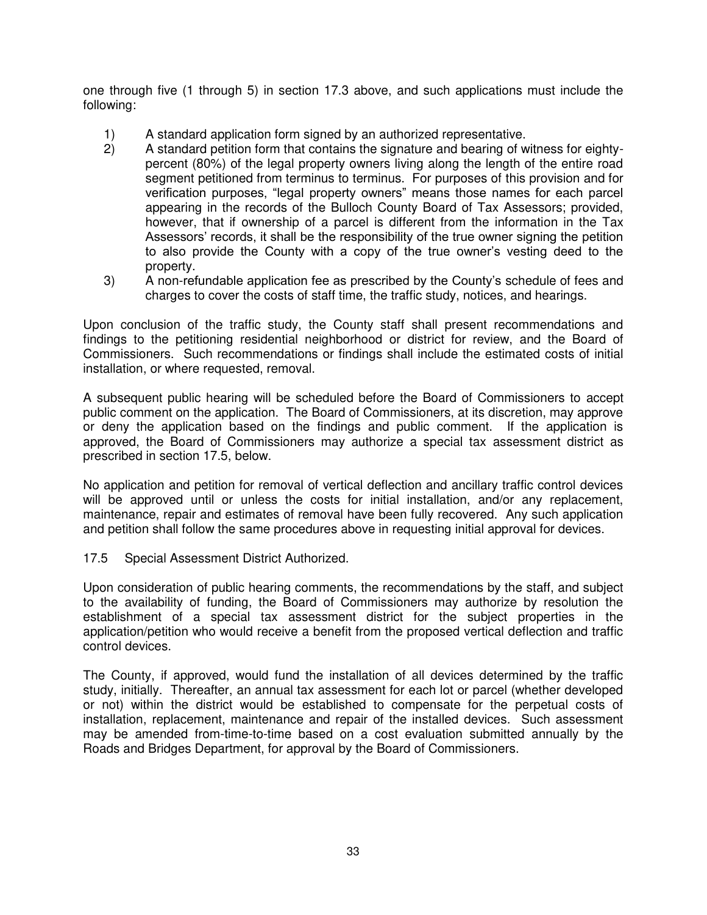one through five (1 through 5) in section 17.3 above, and such applications must include the following:

- 1) A standard application form signed by an authorized representative.<br>2) A standard petition form that contains the signature and bearing of w
- 2) A standard petition form that contains the signature and bearing of witness for eightypercent (80%) of the legal property owners living along the length of the entire road segment petitioned from terminus to terminus. For purposes of this provision and for verification purposes, "legal property owners" means those names for each parcel appearing in the records of the Bulloch County Board of Tax Assessors; provided, however, that if ownership of a parcel is different from the information in the Tax Assessors' records, it shall be the responsibility of the true owner signing the petition to also provide the County with a copy of the true owner's vesting deed to the property.
- 3) A non-refundable application fee as prescribed by the County's schedule of fees and charges to cover the costs of staff time, the traffic study, notices, and hearings.

Upon conclusion of the traffic study, the County staff shall present recommendations and findings to the petitioning residential neighborhood or district for review, and the Board of Commissioners. Such recommendations or findings shall include the estimated costs of initial installation, or where requested, removal.

A subsequent public hearing will be scheduled before the Board of Commissioners to accept public comment on the application. The Board of Commissioners, at its discretion, may approve or deny the application based on the findings and public comment. If the application is approved, the Board of Commissioners may authorize a special tax assessment district as prescribed in section 17.5, below.

No application and petition for removal of vertical deflection and ancillary traffic control devices will be approved until or unless the costs for initial installation, and/or any replacement, maintenance, repair and estimates of removal have been fully recovered. Any such application and petition shall follow the same procedures above in requesting initial approval for devices.

17.5 Special Assessment District Authorized.

Upon consideration of public hearing comments, the recommendations by the staff, and subject to the availability of funding, the Board of Commissioners may authorize by resolution the establishment of a special tax assessment district for the subject properties in the application/petition who would receive a benefit from the proposed vertical deflection and traffic control devices.

The County, if approved, would fund the installation of all devices determined by the traffic study, initially. Thereafter, an annual tax assessment for each lot or parcel (whether developed or not) within the district would be established to compensate for the perpetual costs of installation, replacement, maintenance and repair of the installed devices. Such assessment may be amended from-time-to-time based on a cost evaluation submitted annually by the Roads and Bridges Department, for approval by the Board of Commissioners.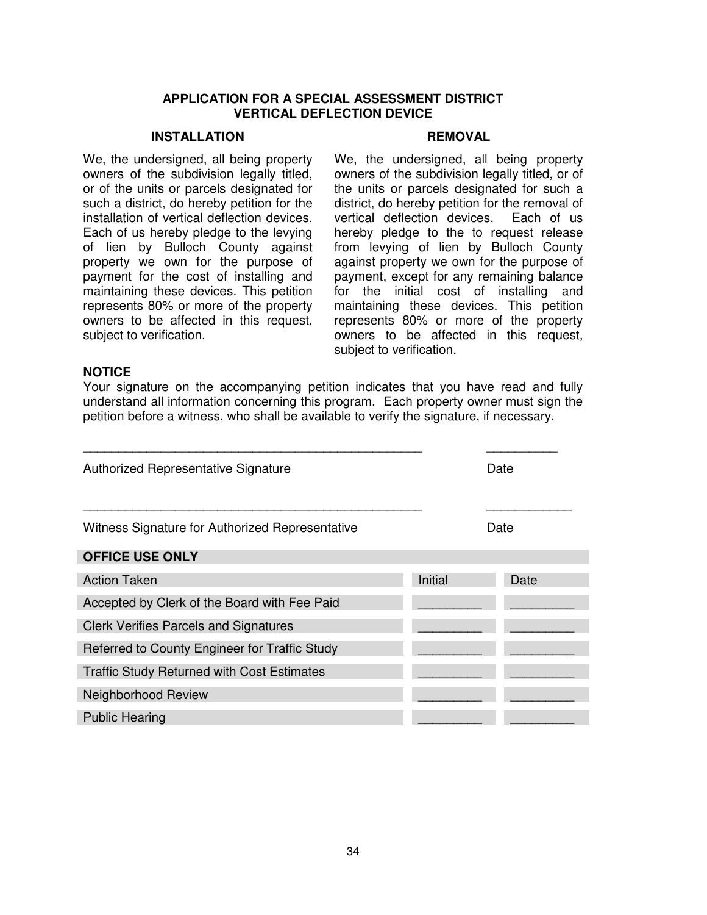#### **APPLICATION FOR A SPECIAL ASSESSMENT DISTRICT VERTICAL DEFLECTION DEVICE**

#### **INSTALLATION REMOVAL**

We, the undersigned, all being property owners of the subdivision legally titled, or of the units or parcels designated for such a district, do hereby petition for the installation of vertical deflection devices. Each of us hereby pledge to the levying of lien by Bulloch County against property we own for the purpose of payment for the cost of installing and maintaining these devices. This petition represents 80% or more of the property owners to be affected in this request, subject to verification.

We, the undersigned, all being property owners of the subdivision legally titled, or of the units or parcels designated for such a district, do hereby petition for the removal of vertical deflection devices. Each of us hereby pledge to the to request release from levying of lien by Bulloch County against property we own for the purpose of payment, except for any remaining balance for the initial cost of installing and maintaining these devices. This petition represents 80% or more of the property owners to be affected in this request, subject to verification.

#### **NOTICE**

Your signature on the accompanying petition indicates that you have read and fully understand all information concerning this program. Each property owner must sign the petition before a witness, who shall be available to verify the signature, if necessary.

| Authorized Representative Signature               |         | Date |
|---------------------------------------------------|---------|------|
| Witness Signature for Authorized Representative   |         | Date |
| <b>OFFICE USE ONLY</b>                            |         |      |
| <b>Action Taken</b>                               | Initial | Date |
| Accepted by Clerk of the Board with Fee Paid      |         |      |
| <b>Clerk Verifies Parcels and Signatures</b>      |         |      |
| Referred to County Engineer for Traffic Study     |         |      |
| <b>Traffic Study Returned with Cost Estimates</b> |         |      |
| Neighborhood Review                               |         |      |
| <b>Public Hearing</b>                             |         |      |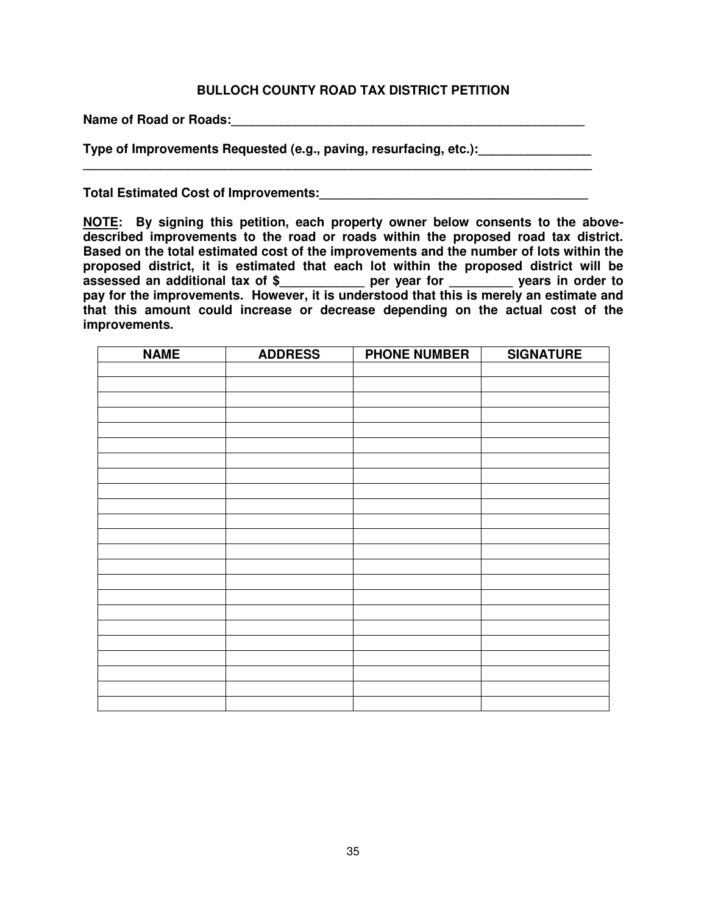## **BULLOCH COUNTY ROAD TAX DISTRICT PETITION**

**\_\_\_\_\_\_\_\_\_\_\_\_\_\_\_\_\_\_\_\_\_\_\_\_\_\_\_\_\_\_\_\_\_\_\_\_\_\_\_\_\_\_\_\_\_\_\_\_\_\_\_\_\_\_\_\_\_\_\_\_\_\_\_\_\_\_\_\_\_\_\_\_**

Name of Road or Roads: **We are also assumed as a set of Roads** or  $\theta$ 

**Type of Improvements Requested (e.g., paving, resurfacing, etc.):** 

**Total Estimated Cost of Improvements:\_\_\_\_\_\_\_\_\_\_\_\_\_\_\_\_\_\_\_\_\_\_\_\_\_\_\_\_\_\_\_\_\_\_\_\_\_\_**

**NOTE: By signing this petition, each property owner below consents to the abovedescribed improvements to the road or roads within the proposed road tax district. Based on the total estimated cost of the improvements and the number of lots within the proposed district, it is estimated that each lot within the proposed district will be assessed an additional tax of \$\_\_\_\_\_\_\_\_\_\_\_\_ per year for \_\_\_\_\_\_\_\_\_ years in order to pay for the improvements. However, it is understood that this is merely an estimate and that this amount could increase or decrease depending on the actual cost of the improvements.** 

| <b>NAME</b> | <b>ADDRESS</b> | <b>PHONE NUMBER</b> | <b>SIGNATURE</b> |
|-------------|----------------|---------------------|------------------|
|             |                |                     |                  |
|             |                |                     |                  |
|             |                |                     |                  |
|             |                |                     |                  |
|             |                |                     |                  |
|             |                |                     |                  |
|             |                |                     |                  |
|             |                |                     |                  |
|             |                |                     |                  |
|             |                |                     |                  |
|             |                |                     |                  |
|             |                |                     |                  |
|             |                |                     |                  |
|             |                |                     |                  |
|             |                |                     |                  |
|             |                |                     |                  |
|             |                |                     |                  |
|             |                |                     |                  |
|             |                |                     |                  |
|             |                |                     |                  |
|             |                |                     |                  |
|             |                |                     |                  |
|             |                |                     |                  |